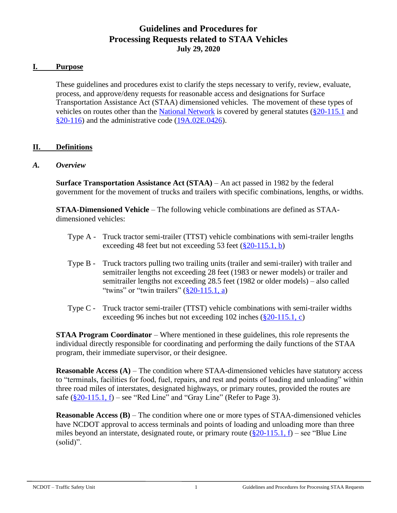## **Guidelines and Procedures for Processing Requests related to STAA Vehicles July 29, 2020**

#### **I. Purpose**

These guidelines and procedures exist to clarify the steps necessary to verify, review, evaluate, process, and approve/deny requests for reasonable access and designations for Surface Transportation Assistance Act (STAA) dimensioned vehicles. The movement of these types of vehicles on routes other than the [National Network](http://ops.fhwa.dot.gov/freight/infrastructure/national_network.htm) is covered by general statutes [\(§20-115.1](http://www.ncleg.net/EnactedLegislation/Statutes/HTML/BySection/Chapter_20/GS_20-115.1.html) and  $\S20-116$ ) and the administrative code ( $19A.02E.0426$ ).

### **II. Definitions**

#### *A. Overview*

**Surface Transportation Assistance Act (STAA)** – An act passed in 1982 by the federal government for the movement of trucks and trailers with specific combinations, lengths, or widths.

**STAA-Dimensioned Vehicle** – The following vehicle combinations are defined as STAAdimensioned vehicles:

- Type A Truck tractor semi-trailer (TTST) vehicle combinations with semi-trailer lengths exceeding 48 feet but not exceeding 53 feet [\(§20-115.1, b\)](http://www.ncleg.net/EnactedLegislation/Statutes/HTML/BySection/Chapter_20/GS_20-115.1.html)
- Type B Truck tractors pulling two trailing units (trailer and semi-trailer) with trailer and semitrailer lengths not exceeding 28 feet (1983 or newer models) or trailer and semitrailer lengths not exceeding 28.5 feet (1982 or older models) – also called "twins" or "twin trailers"  $(\frac{820-115.1}{a})$
- Type C Truck tractor semi-trailer (TTST) vehicle combinations with semi-trailer widths exceeding 96 inches but not exceeding 102 inches [\(§20-115.1, c\)](http://www.ncleg.net/EnactedLegislation/Statutes/HTML/BySection/Chapter_20/GS_20-115.1.html)

**STAA Program Coordinator** – Where mentioned in these guidelines, this role represents the individual directly responsible for coordinating and performing the daily functions of the STAA program, their immediate supervisor, or their designee.

**Reasonable Access (A) – The condition where STAA-dimensioned vehicles have statutory access** to "terminals, facilities for food, fuel, repairs, and rest and points of loading and unloading" within three road miles of interstates, designated highways, or primary routes, provided the routes are safe  $(\frac{820-115.1}{\hbar})$  – see "Red Line" and "Gray Line" (Refer to Page 3).

**Reasonable Access (B)** – The condition where one or more types of STAA-dimensioned vehicles have NCDOT approval to access terminals and points of loading and unloading more than three miles beyond an interstate, designated route, or primary route  $(\frac{820-115.1}{6}, f)$  – see "Blue Line" (solid)".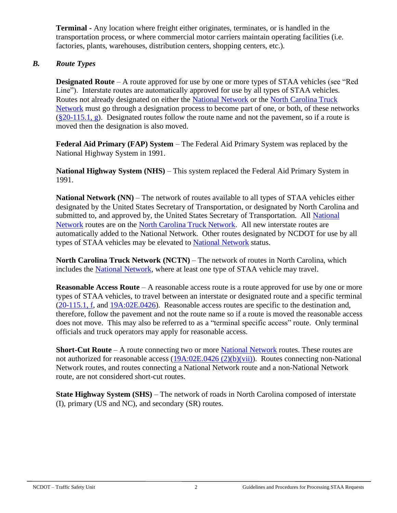**Terminal -** Any location where freight either originates, terminates, or is handled in the transportation process, or where commercial motor carriers maintain operating facilities (i.e. factories, plants, warehouses, distribution centers, shopping centers, etc.).

### *B. Route Types*

**Designated Route** – A route approved for use by one or more types of STAA vehicles (see "Red Line"). Interstate routes are automatically approved for use by all types of STAA vehicles. Routes not already designated on either the [National Network](http://ops.fhwa.dot.gov/freight/infrastructure/national_network.htm) or the [North Carolina Truck](https://connect.ncdot.gov/business/trucking/Pages/Truck-Network-and-Restrictions.aspx)  [Network](https://connect.ncdot.gov/business/trucking/Pages/Truck-Network-and-Restrictions.aspx) must go through a designation process to become part of one, or both, of these networks  $(\frac{820-115.1}{9})$ . Designated routes follow the route name and not the pavement, so if a route is moved then the designation is also moved.

**Federal Aid Primary (FAP) System** – The Federal Aid Primary System was replaced by the National Highway System in 1991.

**National Highway System (NHS)** – This system replaced the Federal Aid Primary System in 1991.

**National Network (NN)** – The network of routes available to all types of STAA vehicles either designated by the United States Secretary of Transportation, or designated by North Carolina and submitted to, and approved by, the United States Secretary of Transportation. All [National](http://ops.fhwa.dot.gov/freight/infrastructure/national_network.htm)  [Network](http://ops.fhwa.dot.gov/freight/infrastructure/national_network.htm) routes are on the [North Carolina Truck Network.](https://connect.ncdot.gov/business/trucking/Pages/Truck-Network-and-Restrictions.aspx) All new interstate routes are automatically added to the National Network. Other routes designated by NCDOT for use by all types of STAA vehicles may be elevated to [National Network](http://ops.fhwa.dot.gov/freight/infrastructure/national_network.htm) status.

**North Carolina Truck Network (NCTN)** – The network of routes in North Carolina, which includes the [National Network,](http://ops.fhwa.dot.gov/freight/infrastructure/national_network.htm) where at least one type of STAA vehicle may travel.

**Reasonable Access Route** – A reasonable access route is a route approved for use by one or more types of STAA vehicles, to travel between an interstate or designated route and a specific terminal [\(20-115.1, f,](http://www.ncleg.net/gascripts/statutes/statutelookup.pl?statute=20-115.1) and [19A:02E.0426\)](http://reports.oah.state.nc.us/ncac/title%2019a%20-%20transportation/chapter%2002%20-%20division%20of%20highways/subchapter%20e/19a%20ncac%2002e%20.0426.html). Reasonable access routes are specific to the destination and, therefore, follow the pavement and not the route name so if a route is moved the reasonable access does not move. This may also be referred to as a "terminal specific access" route. Only terminal officials and truck operators may apply for reasonable access.

**Short-Cut Route** – A route connecting two or more [National Network](http://ops.fhwa.dot.gov/freight/infrastructure/national_network.htm) routes. These routes are not authorized for reasonable access [\(19A:02E.0426](http://reports.oah.state.nc.us/ncac/title%2019a%20-%20transportation/chapter%2002%20-%20division%20of%20highways/subchapter%20e/19a%20ncac%2002e%20.0426.html) (2)(b)(vii)). Routes connecting non-National Network routes, and routes connecting a National Network route and a non-National Network route, are not considered short-cut routes.

**State Highway System (SHS)** – The network of roads in North Carolina composed of interstate (I), primary (US and NC), and secondary (SR) routes.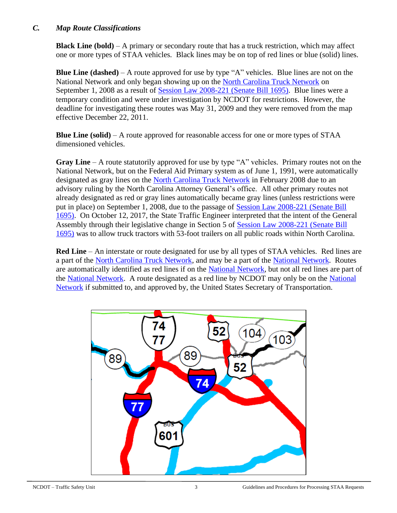#### *C. Map Route Classifications*

**Black Line (bold)** – A primary or secondary route that has a truck restriction, which may affect one or more types of STAA vehicles. Black lines may be on top of red lines or blue (solid) lines.

**Blue Line (dashed)** – A route approved for use by type "A" vehicles. Blue lines are not on the National Network and only began showing up on the [North Carolina Truck Network](https://connect.ncdot.gov/business/trucking/Pages/Truck-Network-and-Restrictions.aspx) on September 1, 2008 as a result of [Session Law 2008-221 \(Senate Bill 1695\).](http://www.ncleg.net/Sessions/2007/Bills/Senate/PDF/S1695v9.pdf) Blue lines were a temporary condition and were under investigation by NCDOT for restrictions. However, the deadline for investigating these routes was May 31, 2009 and they were removed from the map effective December 22, 2011.

**Blue Line (solid)** – A route approved for reasonable access for one or more types of STAA dimensioned vehicles.

**Gray Line** – A route statutorily approved for use by type "A" vehicles. Primary routes not on the National Network, but on the Federal Aid Primary system as of June 1, 1991, were automatically designated as gray lines on the [North Carolina Truck Network](https://connect.ncdot.gov/business/trucking/Pages/Truck-Network-and-Restrictions.aspx) in February 2008 due to an advisory ruling by the North Carolina Attorney General's office. All other primary routes not already designated as red or gray lines automatically became gray lines (unless restrictions were put in place) on September 1, 2008, due to the passage of [Session Law 2008-221 \(Senate Bill](http://www.ncleg.net/Sessions/2007/Bills/Senate/PDF/S1695v9.pdf)  [1695\).](http://www.ncleg.net/Sessions/2007/Bills/Senate/PDF/S1695v9.pdf) On October 12, 2017, the State Traffic Engineer interpreted that the intent of the General Assembly through their legislative change in Section 5 of [Session Law 2008-221 \(Senate Bill](http://www.ncleg.net/Sessions/2007/Bills/Senate/PDF/S1695v9.pdf)  [1695\)](http://www.ncleg.net/Sessions/2007/Bills/Senate/PDF/S1695v9.pdf) was to allow truck tractors with 53-foot trailers on all public roads within North Carolina.

**Red Line** – An interstate or route designated for use by all types of STAA vehicles. Red lines are a part of the [North Carolina Truck Network,](https://connect.ncdot.gov/business/trucking/Pages/Truck-Network-and-Restrictions.aspx) and may be a part of the [National Network.](http://ops.fhwa.dot.gov/freight/infrastructure/national_network.htm) Routes are automatically identified as red lines if on the [National Network,](http://ops.fhwa.dot.gov/freight/infrastructure/national_network.htm) but not all red lines are part of the [National Network.](http://ops.fhwa.dot.gov/freight/infrastructure/national_network.htm) A route designated as a red line by NCDOT may only be on the [National](http://ops.fhwa.dot.gov/freight/infrastructure/national_network.htm) [Network](http://ops.fhwa.dot.gov/freight/infrastructure/national_network.htm) if submitted to, and approved by, the United States Secretary of Transportation.

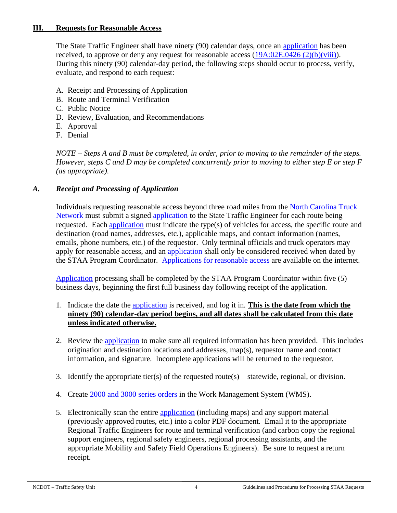### **III. Requests for Reasonable Access**

The State Traffic Engineer shall have ninety (90) calendar days, once an [application](https://connect.ncdot.gov/business/trucking/Trucking%20Documents/Application_Reasonable_Access.pdf) has been received, to approve or deny any request for reasonable access [\(19A:02E.0426](http://reports.oah.state.nc.us/ncac/title%2019a%20-%20transportation/chapter%2002%20-%20division%20of%20highways/subchapter%20e/19a%20ncac%2002e%20.0426.html) (2)(b)(viii)). During this ninety (90) calendar-day period, the following steps should occur to process, verify, evaluate, and respond to each request:

- A. Receipt and Processing of Application
- B. Route and Terminal Verification
- C. Public Notice
- D. Review, Evaluation, and Recommendations
- E. Approval
- F. Denial

*NOTE – Steps A and B must be completed, in order, prior to moving to the remainder of the steps. However, steps C and D may be completed concurrently prior to moving to either step E or step F (as appropriate).*

### *A. Receipt and Processing of Application*

Individuals requesting reasonable access beyond three road miles from the [North Carolina Truck](https://connect.ncdot.gov/business/trucking/Pages/Truck-Network-and-Restrictions.aspx)  [Network](https://connect.ncdot.gov/business/trucking/Pages/Truck-Network-and-Restrictions.aspx) must submit a signed [application](https://connect.ncdot.gov/business/trucking/Trucking%20Documents/Application_Reasonable_Access.pdf) to the State Traffic Engineer for each route being requested. Each [application](https://connect.ncdot.gov/business/trucking/Trucking%20Documents/Application_Reasonable_Access.pdf) must indicate the type(s) of vehicles for access, the specific route and destination (road names, addresses, etc.), applicable maps, and contact information (names, emails, phone numbers, etc.) of the requestor. Only terminal officials and truck operators may apply for reasonable access, and an [application](https://connect.ncdot.gov/business/trucking/Trucking%20Documents/Application_Reasonable_Access.pdf) shall only be considered received when dated by the STAA Program Coordinator. [Applications for reasonable access](https://connect.ncdot.gov/business/trucking/Trucking%20Documents/Application_Reasonable_Access.pdf) are available on the internet.

[Application](https://connect.ncdot.gov/business/trucking/Trucking%20Documents/Application_Reasonable_Access.pdf) processing shall be completed by the STAA Program Coordinator within five (5) business days, beginning the first full business day following receipt of the application.

- 1. Indicate the date the [application](https://connect.ncdot.gov/business/trucking/Trucking%20Documents/Application_Reasonable_Access.pdf) is received, and log it in. **This is the date from which the ninety (90) calendar-day period begins, and all dates shall be calculated from this date unless indicated otherwise.**
- 2. Review the [application](https://connect.ncdot.gov/business/trucking/Trucking%20Documents/Application_Reasonable_Access.pdf) to make sure all required information has been provided. This includes origination and destination locations and addresses, map(s), requestor name and contact information, and signature. Incomplete applications will be returned to the requestor.
- 3. Identify the appropriate tier(s) of the requested route(s) statewide, regional, or division.
- 4. Create [2000 and 3000 series orders](https://connect.ncdot.gov/resources/safety/Teppl/Pages/Teppl-Topic.aspx?Topic_List=W35) in the Work Management System (WMS).
- 5. Electronically scan the entire [application](https://connect.ncdot.gov/business/trucking/Trucking%20Documents/Application_Reasonable_Access.pdf) (including maps) and any support material (previously approved routes, etc.) into a color PDF document. Email it to the appropriate Regional Traffic Engineers for route and terminal verification (and carbon copy the regional support engineers, regional safety engineers, regional processing assistants, and the appropriate Mobility and Safety Field Operations Engineers). Be sure to request a return receipt.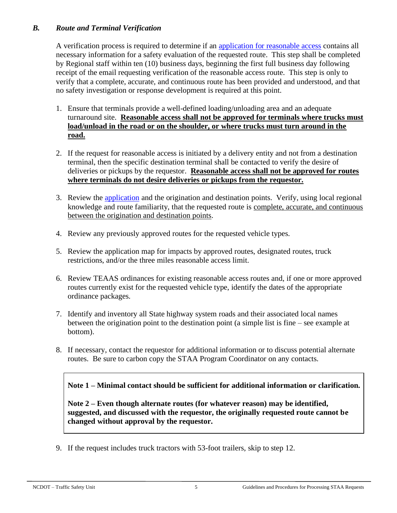### *B. Route and Terminal Verification*

A verification process is required to determine if an [application for reasonable access](https://connect.ncdot.gov/business/trucking/Trucking%20Documents/Application_Reasonable_Access.pdf) contains all necessary information for a safety evaluation of the requested route. This step shall be completed by Regional staff within ten (10) business days, beginning the first full business day following receipt of the email requesting verification of the reasonable access route. This step is only to verify that a complete, accurate, and continuous route has been provided and understood, and that no safety investigation or response development is required at this point.

- 1. Ensure that terminals provide a well-defined loading/unloading area and an adequate turnaround site. **Reasonable access shall not be approved for terminals where trucks must load/unload in the road or on the shoulder, or where trucks must turn around in the road.**
- 2. If the request for reasonable access is initiated by a delivery entity and not from a destination terminal, then the specific destination terminal shall be contacted to verify the desire of deliveries or pickups by the requestor. **Reasonable access shall not be approved for routes where terminals do not desire deliveries or pickups from the requestor.**
- 3. Review the [application](https://connect.ncdot.gov/business/trucking/Trucking%20Documents/Application_Reasonable_Access.pdf) and the origination and destination points. Verify, using local regional knowledge and route familiarity, that the requested route is complete, accurate, and continuous between the origination and destination points.
- 4. Review any previously approved routes for the requested vehicle types.
- 5. Review the application map for impacts by approved routes, designated routes, truck restrictions, and/or the three miles reasonable access limit.
- 6. Review TEAAS ordinances for existing reasonable access routes and, if one or more approved routes currently exist for the requested vehicle type, identify the dates of the appropriate ordinance packages.
- 7. Identify and inventory all State highway system roads and their associated local names between the origination point to the destination point (a simple list is fine – see example at bottom).
- 8. If necessary, contact the requestor for additional information or to discuss potential alternate routes. Be sure to carbon copy the STAA Program Coordinator on any contacts.

**Note 1 – Minimal contact should be sufficient for additional information or clarification.** 

**Note 2 – Even though alternate routes (for whatever reason) may be identified, suggested, and discussed with the requestor, the originally requested route cannot be changed without approval by the requestor.**

9. If the request includes truck tractors with 53-foot trailers, skip to step 12.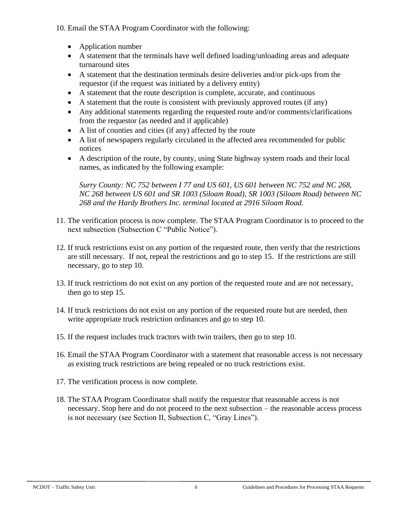10. Email the STAA Program Coordinator with the following:

- Application number
- A statement that the terminals have well defined loading/unloading areas and adequate turnaround sites
- A statement that the destination terminals desire deliveries and/or pick-ups from the requestor (if the request was initiated by a delivery entity)
- A statement that the route description is complete, accurate, and continuous
- A statement that the route is consistent with previously approved routes (if any)
- Any additional statements regarding the requested route and/or comments/clarifications from the requestor (as needed and if applicable)
- A list of counties and cities (if any) affected by the route
- A list of newspapers regularly circulated in the affected area recommended for public notices
- A description of the route, by county, using State highway system roads and their local names, as indicated by the following example:

*Surry County: NC 752 between I 77 and US 601, US 601 between NC 752 and NC 268, NC 268 between US 601 and SR 1003 (Siloam Road), SR 1003 (Siloam Road) between NC 268 and the Hardy Brothers Inc. terminal located at 2916 Siloam Road.*

- 11. The verification process is now complete. The STAA Program Coordinator is to proceed to the next subsection (Subsection C "Public Notice").
- 12. If truck restrictions exist on any portion of the requested route, then verify that the restrictions are still necessary. If not, repeal the restrictions and go to step 15. If the restrictions are still necessary, go to step 10.
- 13. If truck restrictions do not exist on any portion of the requested route and are not necessary, then go to step 15.
- 14. If truck restrictions do not exist on any portion of the requested route but are needed, then write appropriate truck restriction ordinances and go to step 10.
- 15. If the request includes truck tractors with twin trailers, then go to step 10.
- 16. Email the STAA Program Coordinator with a statement that reasonable access is not necessary as existing truck restrictions are being repealed or no truck restrictions exist.
- 17. The verification process is now complete.
- 18. The STAA Program Coordinator shall notify the requestor that reasonable access is not necessary. Stop here and do not proceed to the next subsection – the reasonable access process is not necessary (see Section II, Subsection C, "Gray Lines").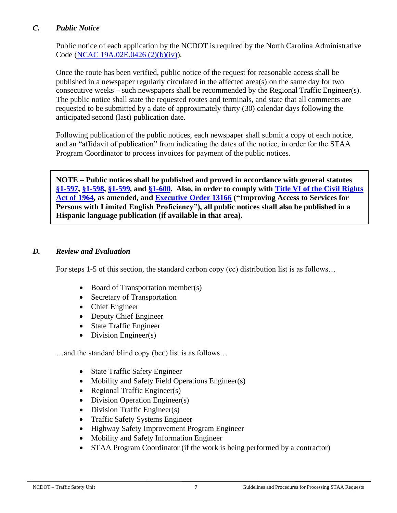#### *C. Public Notice*

Public notice of each application by the NCDOT is required by the North Carolina Administrative Code [\(NCAC 19A.02E.0426 \(2\)\(b\)\(iv\)\)](http://reports.oah.state.nc.us/ncac/title%2019a%20-%20transportation/chapter%2002%20-%20division%20of%20highways/subchapter%20e/19a%20ncac%2002e%20.0426.html).

Once the route has been verified, public notice of the request for reasonable access shall be published in a newspaper regularly circulated in the affected area(s) on the same day for two consecutive weeks – such newspapers shall be recommended by the Regional Traffic Engineer(s). The public notice shall state the requested routes and terminals, and state that all comments are requested to be submitted by a date of approximately thirty (30) calendar days following the anticipated second (last) publication date.

Following publication of the public notices, each newspaper shall submit a copy of each notice, and an "affidavit of publication" from indicating the dates of the notice, in order for the STAA Program Coordinator to process invoices for payment of the public notices.

**NOTE – Public notices shall be published and proved in accordance with general statutes [§1-597,](http://www.ncleg.net/EnactedLegislation/Statutes/HTML/BySection/Chapter_1/GS_1-597.html) [§1-598,](http://www.ncleg.net/EnactedLegislation/Statutes/HTML/BySection/Chapter_1/GS_1-598.html) [§1-599,](http://www.ncleg.net/EnactedLegislation/Statutes/HTML/BySection/Chapter_1/GS_1-599.html) and [§1-600.](http://www.ncleg.net/EnactedLegislation/Statutes/HTML/BySection/Chapter_1/GS_1-600.html) Also, in order to comply with [Title VI of the Civil Rights](http://www.justice.gov/crt/title-vi-civil-rights-act-1964-42-usc-2000d-et-seq)  [Act of 1964,](http://www.justice.gov/crt/title-vi-civil-rights-act-1964-42-usc-2000d-et-seq) as amended, and [Executive Order 13166](http://www.justice.gov/crt/lep/13166/eo13166.html) ("Improving Access to Services for Persons with Limited English Proficiency"), all public notices shall also be published in a Hispanic language publication (if available in that area).**

#### *D. Review and Evaluation*

For steps 1-5 of this section, the standard carbon copy (cc) distribution list is as follows...

- Board of Transportation member(s)
- Secretary of Transportation
- Chief Engineer
- Deputy Chief Engineer
- State Traffic Engineer
- Division Engineer(s)

…and the standard blind copy (bcc) list is as follows…

- State Traffic Safety Engineer
- Mobility and Safety Field Operations Engineer(s)
- Regional Traffic Engineer(s)
- Division Operation Engineer(s)
- Division Traffic Engineer(s)
- Traffic Safety Systems Engineer
- Highway Safety Improvement Program Engineer
- Mobility and Safety Information Engineer
- STAA Program Coordinator (if the work is being performed by a contractor)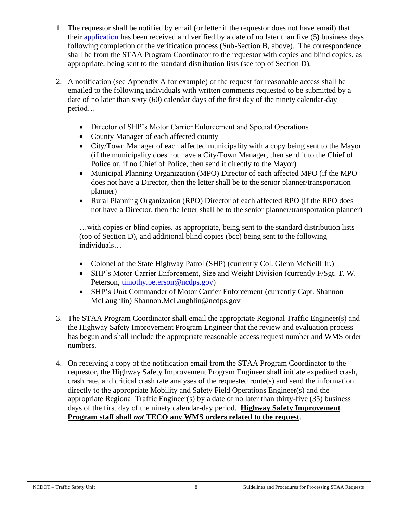- 1. The requestor shall be notified by email (or letter if the requestor does not have email) that their [application](https://connect.ncdot.gov/business/trucking/Trucking%20Documents/Application_Reasonable_Access.pdf) has been received and verified by a date of no later than five (5) business days following completion of the verification process (Sub-Section B, above). The correspondence shall be from the STAA Program Coordinator to the requestor with copies and blind copies, as appropriate, being sent to the standard distribution lists (see top of Section D).
- 2. A notification (see Appendix A for example) of the request for reasonable access shall be emailed to the following individuals with written comments requested to be submitted by a date of no later than sixty (60) calendar days of the first day of the ninety calendar-day period…
	- Director of SHP's Motor Carrier Enforcement and Special Operations
	- County Manager of each affected county
	- City/Town Manager of each affected municipality with a copy being sent to the Mayor (if the municipality does not have a City/Town Manager, then send it to the Chief of Police or, if no Chief of Police, then send it directly to the Mayor)
	- Municipal Planning Organization (MPO) Director of each affected MPO (if the MPO does not have a Director, then the letter shall be to the senior planner/transportation planner)
	- Rural Planning Organization (RPO) Director of each affected RPO (if the RPO does not have a Director, then the letter shall be to the senior planner/transportation planner)

…with copies or blind copies, as appropriate, being sent to the standard distribution lists (top of Section D), and additional blind copies (bcc) being sent to the following individuals…

- Colonel of the State Highway Patrol (SHP) (currently Col. Glenn McNeill Jr.)
- SHP's Motor Carrier Enforcement, Size and Weight Division (currently F/Sgt. T. W. Peterson, [timothy.peterson@ncdps.gov\)](mailto:timothy.peterson@ncdps.gov)
- SHP's Unit Commander of Motor Carrier Enforcement (currently Capt. Shannon McLaughlin) Shannon.McLaughlin@ncdps.gov
- 3. The STAA Program Coordinator shall email the appropriate Regional Traffic Engineer(s) and the Highway Safety Improvement Program Engineer that the review and evaluation process has begun and shall include the appropriate reasonable access request number and WMS order numbers.
- 4. On receiving a copy of the notification email from the STAA Program Coordinator to the requestor, the Highway Safety Improvement Program Engineer shall initiate expedited crash, crash rate, and critical crash rate analyses of the requested route(s) and send the information directly to the appropriate Mobility and Safety Field Operations Engineer(s) and the appropriate Regional Traffic Engineer(s) by a date of no later than thirty-five (35) business days of the first day of the ninety calendar-day period. **Highway Safety Improvement Program staff shall** *not* **TECO any WMS orders related to the request**.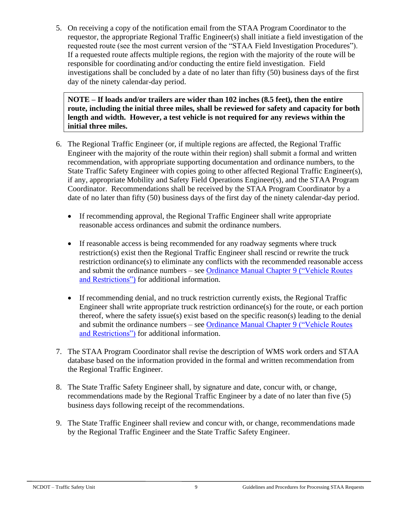5. On receiving a copy of the notification email from the STAA Program Coordinator to the requestor, the appropriate Regional Traffic Engineer(s) shall initiate a field investigation of the requested route (see the most current version of the "STAA Field Investigation Procedures"). If a requested route affects multiple regions, the region with the majority of the route will be responsible for coordinating and/or conducting the entire field investigation. Field investigations shall be concluded by a date of no later than fifty (50) business days of the first day of the ninety calendar-day period.

**NOTE – If loads and/or trailers are wider than 102 inches (8.5 feet), then the entire route, including the initial three miles, shall be reviewed for safety and capacity for both length and width. However, a test vehicle is not required for any reviews within the initial three miles.**

- 6. The Regional Traffic Engineer (or, if multiple regions are affected, the Regional Traffic Engineer with the majority of the route within their region) shall submit a formal and written recommendation, with appropriate supporting documentation and ordinance numbers, to the State Traffic Safety Engineer with copies going to other affected Regional Traffic Engineer(s), if any, appropriate Mobility and Safety Field Operations Engineer(s), and the STAA Program Coordinator. Recommendations shall be received by the STAA Program Coordinator by a date of no later than fifty (50) business days of the first day of the ninety calendar-day period.
	- If recommending approval, the Regional Traffic Engineer shall write appropriate reasonable access ordinances and submit the ordinance numbers.
	- If reasonable access is being recommended for any roadway segments where truck restriction(s) exist then the Regional Traffic Engineer shall rescind or rewrite the truck restriction ordinance(s) to eliminate any conflicts with the recommended reasonable access and submit the ordinance numbers – see [Ordinance Manual Chapter 9](https://connect.ncdot.gov/resources/safety/Crash%20Data%20and%20TEAAS%20System/Chapter_09_Vehicle_Routes_and_Restrictions.pdf) ("Vehicle Routes [and Restrictions"\)](https://connect.ncdot.gov/resources/safety/Crash%20Data%20and%20TEAAS%20System/Chapter_09_Vehicle_Routes_and_Restrictions.pdf) for additional information.
	- If recommending denial, and no truck restriction currently exists, the Regional Traffic Engineer shall write appropriate truck restriction ordinance(s) for the route, or each portion thereof, where the safety issue(s) exist based on the specific reason(s) leading to the denial and submit the ordinance numbers – see [Ordinance Manual Chapter 9 \("Vehicle Routes](https://connect.ncdot.gov/resources/safety/Crash%20Data%20and%20TEAAS%20System/Chapter_09_Vehicle_Routes_and_Restrictions.pdf)  [and Restrictions"\)](https://connect.ncdot.gov/resources/safety/Crash%20Data%20and%20TEAAS%20System/Chapter_09_Vehicle_Routes_and_Restrictions.pdf) for additional information.
- 7. The STAA Program Coordinator shall revise the description of WMS work orders and STAA database based on the information provided in the formal and written recommendation from the Regional Traffic Engineer.
- 8. The State Traffic Safety Engineer shall, by signature and date, concur with, or change, recommendations made by the Regional Traffic Engineer by a date of no later than five (5) business days following receipt of the recommendations.
- 9. The State Traffic Engineer shall review and concur with, or change, recommendations made by the Regional Traffic Engineer and the State Traffic Safety Engineer.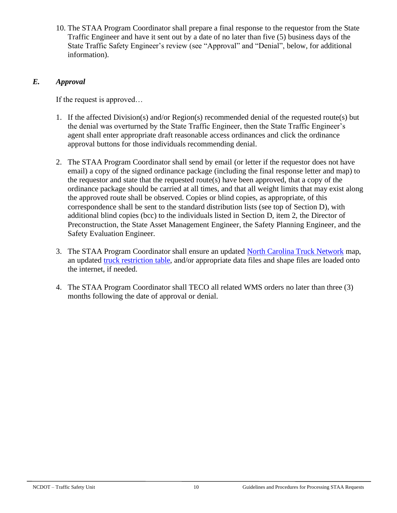10. The STAA Program Coordinator shall prepare a final response to the requestor from the State Traffic Engineer and have it sent out by a date of no later than five (5) business days of the State Traffic Safety Engineer's review (see "Approval" and "Denial", below, for additional information).

### *E. Approval*

If the request is approved…

- 1. If the affected Division(s) and/or Region(s) recommended denial of the requested route(s) but the denial was overturned by the State Traffic Engineer, then the State Traffic Engineer's agent shall enter appropriate draft reasonable access ordinances and click the ordinance approval buttons for those individuals recommending denial.
- 2. The STAA Program Coordinator shall send by email (or letter if the requestor does not have email) a copy of the signed ordinance package (including the final response letter and map) to the requestor and state that the requested route(s) have been approved, that a copy of the ordinance package should be carried at all times, and that all weight limits that may exist along the approved route shall be observed. Copies or blind copies, as appropriate, of this correspondence shall be sent to the standard distribution lists (see top of Section D), with additional blind copies (bcc) to the individuals listed in Section D, item 2, the Director of Preconstruction, the State Asset Management Engineer, the Safety Planning Engineer, and the Safety Evaluation Engineer.
- 3. The STAA Program Coordinator shall ensure an updated [North Carolina Truck Network](https://connect.ncdot.gov/business/trucking/Pages/Truck-Network-and-Restrictions.aspx) map, an updated [truck restriction table,](https://connect.ncdot.gov/business/trucking/Pages/Truck-Network-and-Restrictions.aspx) and/or appropriate data files and shape files are loaded onto the internet, if needed.
- 4. The STAA Program Coordinator shall TECO all related WMS orders no later than three (3) months following the date of approval or denial.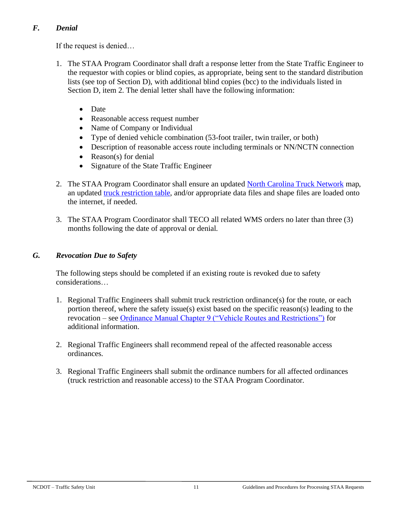## *F. Denial*

If the request is denied…

- 1. The STAA Program Coordinator shall draft a response letter from the State Traffic Engineer to the requestor with copies or blind copies, as appropriate, being sent to the standard distribution lists (see top of Section D), with additional blind copies (bcc) to the individuals listed in Section D, item 2. The denial letter shall have the following information:
	- Date
	- Reasonable access request number
	- Name of Company or Individual
	- Type of denied vehicle combination (53-foot trailer, twin trailer, or both)
	- Description of reasonable access route including terminals or NN/NCTN connection
	- Reason(s) for denial
	- Signature of the State Traffic Engineer
- 2. The STAA Program Coordinator shall ensure an updated [North Carolina Truck Network](https://connect.ncdot.gov/business/trucking/Pages/Truck-Network-and-Restrictions.aspx) map, an updated truck [restriction table,](https://connect.ncdot.gov/business/trucking/Pages/Truck-Network-and-Restrictions.aspx) and/or appropriate data files and shape files are loaded onto the internet, if needed.
- 3. The STAA Program Coordinator shall TECO all related WMS orders no later than three (3) months following the date of approval or denial.

## *G. Revocation Due to Safety*

The following steps should be completed if an existing route is revoked due to safety considerations…

- 1. Regional Traffic Engineers shall submit truck restriction ordinance(s) for the route, or each portion thereof, where the safety issue(s) exist based on the specific reason(s) leading to the revocation – see [Ordinance Manual Chapter 9 \("Vehicle Routes and Restrictions"\)](https://connect.ncdot.gov/resources/safety/Crash%20Data%20and%20TEAAS%20System/Chapter_09_Vehicle_Routes_and_Restrictions.pdf) for additional information.
- 2. Regional Traffic Engineers shall recommend repeal of the affected reasonable access ordinances.
- 3. Regional Traffic Engineers shall submit the ordinance numbers for all affected ordinances (truck restriction and reasonable access) to the STAA Program Coordinator.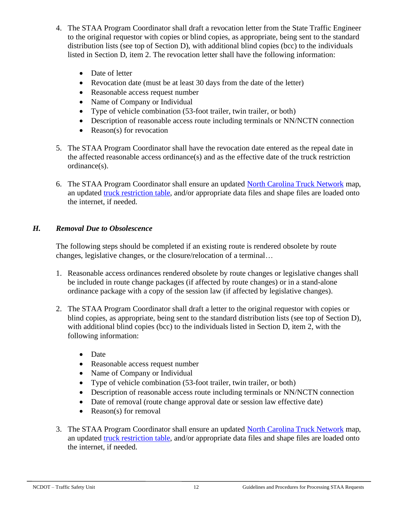- 4. The STAA Program Coordinator shall draft a revocation letter from the State Traffic Engineer to the original requestor with copies or blind copies, as appropriate, being sent to the standard distribution lists (see top of Section D), with additional blind copies (bcc) to the individuals listed in Section D, item 2. The revocation letter shall have the following information:
	- Date of letter
	- Revocation date (must be at least 30 days from the date of the letter)
	- Reasonable access request number
	- Name of Company or Individual
	- Type of vehicle combination (53-foot trailer, twin trailer, or both)
	- Description of reasonable access route including terminals or NN/NCTN connection
	- Reason(s) for revocation
- 5. The STAA Program Coordinator shall have the revocation date entered as the repeal date in the affected reasonable access ordinance(s) and as the effective date of the truck restriction ordinance(s).
- 6. The STAA Program Coordinator shall ensure an updated [North Carolina Truck Network](https://connect.ncdot.gov/business/trucking/Pages/Truck-Network-and-Restrictions.aspx) map, an updated [truck restriction table,](https://connect.ncdot.gov/business/trucking/Pages/Truck-Network-and-Restrictions.aspx) and/or appropriate data files and shape files are loaded onto the internet, if needed.

## *H. Removal Due to Obsolescence*

The following steps should be completed if an existing route is rendered obsolete by route changes, legislative changes, or the closure/relocation of a terminal…

- 1. Reasonable access ordinances rendered obsolete by route changes or legislative changes shall be included in route change packages (if affected by route changes) or in a stand-alone ordinance package with a copy of the session law (if affected by legislative changes).
- 2. The STAA Program Coordinator shall draft a letter to the original requestor with copies or blind copies, as appropriate, being sent to the standard distribution lists (see top of Section D), with additional blind copies (bcc) to the individuals listed in Section D, item 2, with the following information:
	- Date
	- Reasonable access request number
	- Name of Company or Individual
	- Type of vehicle combination (53-foot trailer, twin trailer, or both)
	- Description of reasonable access route including terminals or NN/NCTN connection
	- Date of removal (route change approval date or session law effective date)
	- Reason(s) for removal
- 3. The STAA Program Coordinator shall ensure an updated [North Carolina Truck Network](https://connect.ncdot.gov/business/trucking/Pages/Truck-Network-and-Restrictions.aspx) map, an updated [truck restriction table,](https://connect.ncdot.gov/business/trucking/Pages/Truck-Network-and-Restrictions.aspx) and/or appropriate data files and shape files are loaded onto the internet, if needed.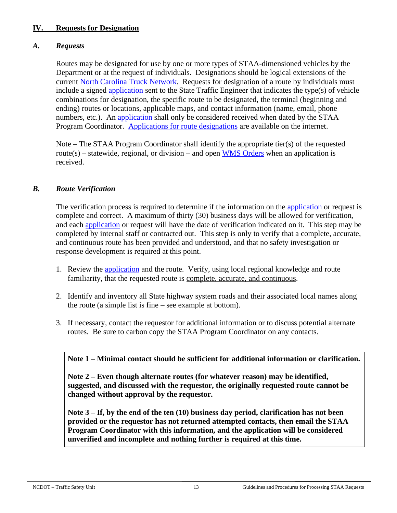### **IV. Requests for Designation**

### *A. Requests*

Routes may be designated for use by one or more types of STAA-dimensioned vehicles by the Department or at the request of individuals. Designations should be logical extensions of the current [North Carolina Truck Network.](https://connect.ncdot.gov/business/trucking/Pages/Truck-Network-and-Restrictions.aspx) Requests for designation of a route by individuals must include a signed [application](https://connect.ncdot.gov/business/trucking/Trucking%20Documents/Application_Route_Designation.pdf) sent to the State Traffic Engineer that indicates the type(s) of vehicle combinations for designation, the specific route to be designated, the terminal (beginning and ending) routes or locations, applicable maps, and contact information (name, email, phone numbers, etc.). An [application](https://connect.ncdot.gov/business/trucking/Trucking%20Documents/Application_Route_Designation.pdf) shall only be considered received when dated by the STAA Program Coordinator. [Applications for route designations](https://connect.ncdot.gov/business/trucking/Trucking%20Documents/Application_Route_Designation.pdf) are available on the internet.

Note – The STAA Program Coordinator shall identify the appropriate tier(s) of the requested route(s) – statewide, regional, or division – and open [WMS Orders](https://connect.ncdot.gov/resources/safety/Teppl/Pages/Teppl-Topic.aspx?Topic_List=W35) when an application is received.

### *B. Route Verification*

The verification process is required to determine if the information on the [application](https://connect.ncdot.gov/business/trucking/Trucking%20Documents/Application_Route_Designation.pdf) or request is complete and correct. A maximum of thirty (30) business days will be allowed for verification, and each [application](https://connect.ncdot.gov/business/trucking/Trucking%20Documents/Application_Route_Designation.pdf) or request will have the date of verification indicated on it. This step may be completed by internal staff or contracted out. This step is only to verify that a complete, accurate, and continuous route has been provided and understood, and that no safety investigation or response development is required at this point.

- 1. Review the [application](https://connect.ncdot.gov/business/trucking/Trucking%20Documents/Application_Route_Designation.pdf) and the route. Verify, using local regional knowledge and route familiarity, that the requested route is complete, accurate, and continuous.
- 2. Identify and inventory all State highway system roads and their associated local names along the route (a simple list is fine – see example at bottom).
- 3. If necessary, contact the requestor for additional information or to discuss potential alternate routes. Be sure to carbon copy the STAA Program Coordinator on any contacts.

### **Note 1 – Minimal contact should be sufficient for additional information or clarification.**

**Note 2 – Even though alternate routes (for whatever reason) may be identified, suggested, and discussed with the requestor, the originally requested route cannot be changed without approval by the requestor.**

**Note 3 – If, by the end of the ten (10) business day period, clarification has not been provided or the requestor has not returned attempted contacts, then email the STAA Program Coordinator with this information, and the application will be considered unverified and incomplete and nothing further is required at this time.**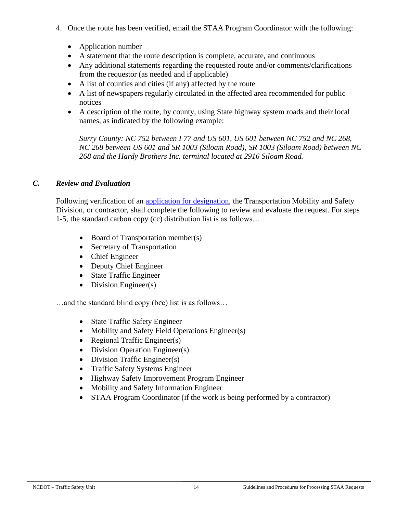- 4. Once the route has been verified, email the STAA Program Coordinator with the following:
	- Application number
	- A statement that the route description is complete, accurate, and continuous
	- Any additional statements regarding the requested route and/or comments/clarifications from the requestor (as needed and if applicable)
	- A list of counties and cities (if any) affected by the route
	- A list of newspapers regularly circulated in the affected area recommended for public notices
	- A description of the route, by county, using State highway system roads and their local names, as indicated by the following example:

*Surry County: NC 752 between I 77 and US 601, US 601 between NC 752 and NC 268, NC 268 between US 601 and SR 1003 (Siloam Road), SR 1003 (Siloam Road) between NC 268 and the Hardy Brothers Inc. terminal located at 2916 Siloam Road.*

### *C. Review and Evaluation*

Following verification of an [application for designation,](https://connect.ncdot.gov/business/trucking/Trucking%20Documents/Application_Route_Designation.pdf) the Transportation Mobility and Safety Division, or contractor, shall complete the following to review and evaluate the request. For steps 1-5, the standard carbon copy (cc) distribution list is as follows…

- Board of Transportation member(s)
- Secretary of Transportation
- Chief Engineer
- Deputy Chief Engineer
- State Traffic Engineer
- Division Engineer(s)

…and the standard blind copy (bcc) list is as follows…

- State Traffic Safety Engineer
- Mobility and Safety Field Operations Engineer(s)
- Regional Traffic Engineer(s)
- Division Operation Engineer(s)
- Division Traffic Engineer(s)
- Traffic Safety Systems Engineer
- Highway Safety Improvement Program Engineer
- Mobility and Safety Information Engineer
- STAA Program Coordinator (if the work is being performed by a contractor)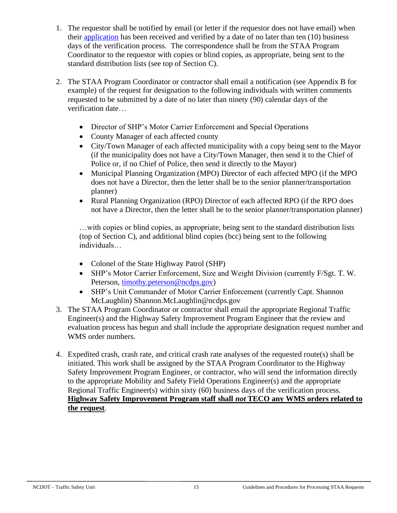- 1. The requestor shall be notified by email (or letter if the requestor does not have email) when their [application](https://connect.ncdot.gov/business/trucking/Trucking%20Documents/Application_Route_Designation.pdf) has been received and verified by a date of no later than ten (10) business days of the verification process. The correspondence shall be from the STAA Program Coordinator to the requestor with copies or blind copies, as appropriate, being sent to the standard distribution lists (see top of Section C).
- 2. The STAA Program Coordinator or contractor shall email a notification (see Appendix B for example) of the request for designation to the following individuals with written comments requested to be submitted by a date of no later than ninety (90) calendar days of the verification date…
	- Director of SHP's Motor Carrier Enforcement and Special Operations
	- County Manager of each affected county
	- City/Town Manager of each affected municipality with a copy being sent to the Mayor (if the municipality does not have a City/Town Manager, then send it to the Chief of Police or, if no Chief of Police, then send it directly to the Mayor)
	- Municipal Planning Organization (MPO) Director of each affected MPO (if the MPO does not have a Director, then the letter shall be to the senior planner/transportation planner)
	- Rural Planning Organization (RPO) Director of each affected RPO (if the RPO does not have a Director, then the letter shall be to the senior planner/transportation planner)

…with copies or blind copies, as appropriate, being sent to the standard distribution lists (top of Section C), and additional blind copies (bcc) being sent to the following individuals…

- Colonel of the State Highway Patrol (SHP)
- SHP's Motor Carrier Enforcement, Size and Weight Division (currently F/Sgt. T. W. Peterson, [timothy.peterson@ncdps.gov\)](mailto:timothy.peterson@ncdps.gov)
- SHP's Unit Commander of Motor Carrier Enforcement (currently Capt. Shannon McLaughlin) Shannon.McLaughlin@ncdps.gov
- 3. The STAA Program Coordinator or contractor shall email the appropriate Regional Traffic Engineer(s) and the Highway Safety Improvement Program Engineer that the review and evaluation process has begun and shall include the appropriate designation request number and WMS order numbers.
- 4. Expedited crash, crash rate, and critical crash rate analyses of the requested route(s) shall be initiated. This work shall be assigned by the STAA Program Coordinator to the Highway Safety Improvement Program Engineer, or contractor, who will send the information directly to the appropriate Mobility and Safety Field Operations Engineer(s) and the appropriate Regional Traffic Engineer(s) within sixty (60) business days of the verification process. **Highway Safety Improvement Program staff shall** *not* **TECO any WMS orders related to the request**.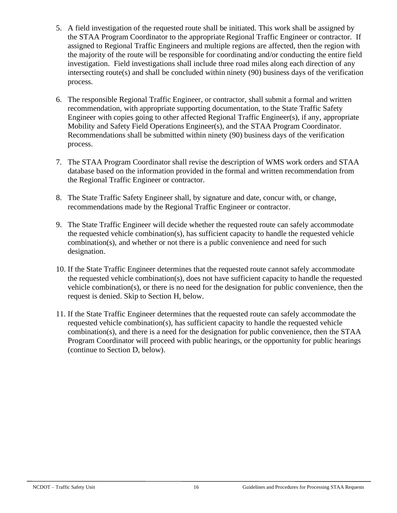- 5. A field investigation of the requested route shall be initiated. This work shall be assigned by the STAA Program Coordinator to the appropriate Regional Traffic Engineer or contractor. If assigned to Regional Traffic Engineers and multiple regions are affected, then the region with the majority of the route will be responsible for coordinating and/or conducting the entire field investigation. Field investigations shall include three road miles along each direction of any intersecting route(s) and shall be concluded within ninety (90) business days of the verification process.
- 6. The responsible Regional Traffic Engineer, or contractor, shall submit a formal and written recommendation, with appropriate supporting documentation, to the State Traffic Safety Engineer with copies going to other affected Regional Traffic Engineer(s), if any, appropriate Mobility and Safety Field Operations Engineer(s), and the STAA Program Coordinator. Recommendations shall be submitted within ninety (90) business days of the verification process.
- 7. The STAA Program Coordinator shall revise the description of WMS work orders and STAA database based on the information provided in the formal and written recommendation from the Regional Traffic Engineer or contractor.
- 8. The State Traffic Safety Engineer shall, by signature and date, concur with, or change, recommendations made by the Regional Traffic Engineer or contractor.
- 9. The State Traffic Engineer will decide whether the requested route can safely accommodate the requested vehicle combination(s), has sufficient capacity to handle the requested vehicle combination(s), and whether or not there is a public convenience and need for such designation.
- 10. If the State Traffic Engineer determines that the requested route cannot safely accommodate the requested vehicle combination(s), does not have sufficient capacity to handle the requested vehicle combination(s), or there is no need for the designation for public convenience, then the request is denied. Skip to Section H, below.
- 11. If the State Traffic Engineer determines that the requested route can safely accommodate the requested vehicle combination(s), has sufficient capacity to handle the requested vehicle combination(s), and there is a need for the designation for public convenience, then the STAA Program Coordinator will proceed with public hearings, or the opportunity for public hearings (continue to Section D, below).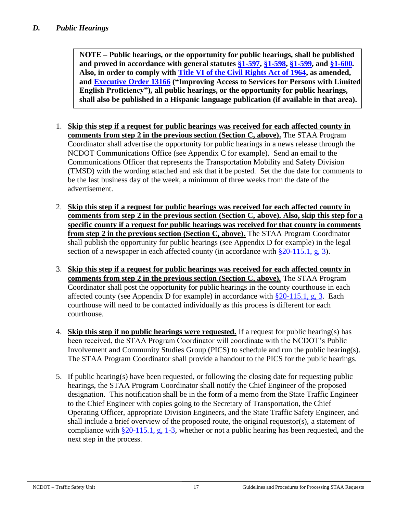**NOTE – Public hearings, or the opportunity for public hearings, shall be published and proved in accordance with general statutes [§1-597,](http://www.ncleg.net/EnactedLegislation/Statutes/HTML/BySection/Chapter_1/GS_1-597.html) [§1-598,](http://www.ncleg.net/EnactedLegislation/Statutes/HTML/BySection/Chapter_1/GS_1-598.html) [§1-599,](http://www.ncleg.net/EnactedLegislation/Statutes/HTML/BySection/Chapter_1/GS_1-599.html) and [§1-600.](http://www.ncleg.net/EnactedLegislation/Statutes/HTML/BySection/Chapter_1/GS_1-600.html) Also, in order to comply with [Title VI of the Civil Rights Act of 1964,](http://www.justice.gov/crt/title-vi-civil-rights-act-1964-42-usc-2000d-et-seq) as amended, and [Executive Order 13166](http://www.justice.gov/crt/lep/13166/eo13166.html) ("Improving Access to Services for Persons with Limited English Proficiency"), all public hearings, or the opportunity for public hearings, shall also be published in a Hispanic language publication (if available in that area).**

- 1. **Skip this step if a request for public hearings was received for each affected county in comments from step 2 in the previous section (Section C, above).** The STAA Program Coordinator shall advertise the opportunity for public hearings in a news release through the NCDOT Communications Office (see Appendix C for example). Send an email to the Communications Officer that represents the Transportation Mobility and Safety Division (TMSD) with the wording attached and ask that it be posted. Set the due date for comments to be the last business day of the week, a minimum of three weeks from the date of the advertisement.
- 2. **Skip this step if a request for public hearings was received for each affected county in comments from step 2 in the previous section (Section C, above). Also, skip this step for a specific county if a request for public hearings was received for that county in comments from step 2 in the previous section (Section C, above).** The STAA Program Coordinator shall publish the opportunity for public hearings (see Appendix D for example) in the legal section of a newspaper in each affected county (in accordance with  $\S 20-115.1$ , g, 3).
- 3. **Skip this step if a request for public hearings was received for each affected county in comments from step 2 in the previous section (Section C, above).** The STAA Program Coordinator shall post the opportunity for public hearings in the county courthouse in each affected county (see Appendix D for example) in accordance with  $\S 20-115.1$ , g, 3. Each courthouse will need to be contacted individually as this process is different for each courthouse.
- 4. **Skip this step if no public hearings were requested.** If a request for public hearing(s) has been received, the STAA Program Coordinator will coordinate with the NCDOT's Public Involvement and Community Studies Group (PICS) to schedule and run the public hearing(s). The STAA Program Coordinator shall provide a handout to the PICS for the public hearings.
- 5. If public hearing(s) have been requested, or following the closing date for requesting public hearings, the STAA Program Coordinator shall notify the Chief Engineer of the proposed designation. This notification shall be in the form of a memo from the State Traffic Engineer to the Chief Engineer with copies going to the Secretary of Transportation, the Chief Operating Officer, appropriate Division Engineers, and the State Traffic Safety Engineer, and shall include a brief overview of the proposed route, the original requestor(s), a statement of compliance with  $\S 20-115.1$ , g, 1-3, whether or not a public hearing has been requested, and the next step in the process.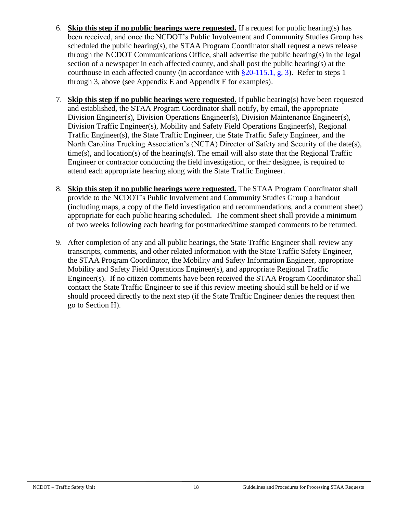- 6. **Skip this step if no public hearings were requested.** If a request for public hearing(s) has been received, and once the NCDOT's Public Involvement and Community Studies Group has scheduled the public hearing(s), the STAA Program Coordinator shall request a news release through the NCDOT Communications Office, shall advertise the public hearing(s) in the legal section of a newspaper in each affected county, and shall post the public hearing(s) at the courthouse in each affected county (in accordance with  $\S 20-115.1, g, 3$ ). Refer to steps 1 through 3, above (see Appendix E and Appendix F for examples).
- 7. **Skip this step if no public hearings were requested.** If public hearing(s) have been requested and established, the STAA Program Coordinator shall notify, by email, the appropriate Division Engineer(s), Division Operations Engineer(s), Division Maintenance Engineer(s), Division Traffic Engineer(s), Mobility and Safety Field Operations Engineer(s), Regional Traffic Engineer(s), the State Traffic Engineer, the State Traffic Safety Engineer, and the North Carolina Trucking Association's (NCTA) Director of Safety and Security of the date(s), time(s), and location(s) of the hearing(s). The email will also state that the Regional Traffic Engineer or contractor conducting the field investigation, or their designee, is required to attend each appropriate hearing along with the State Traffic Engineer.
- 8. **Skip this step if no public hearings were requested.** The STAA Program Coordinator shall provide to the NCDOT's Public Involvement and Community Studies Group a handout (including maps, a copy of the field investigation and recommendations, and a comment sheet) appropriate for each public hearing scheduled. The comment sheet shall provide a minimum of two weeks following each hearing for postmarked/time stamped comments to be returned.
- 9. After completion of any and all public hearings, the State Traffic Engineer shall review any transcripts, comments, and other related information with the State Traffic Safety Engineer, the STAA Program Coordinator, the Mobility and Safety Information Engineer, appropriate Mobility and Safety Field Operations Engineer(s), and appropriate Regional Traffic Engineer(s). If no citizen comments have been received the STAA Program Coordinator shall contact the State Traffic Engineer to see if this review meeting should still be held or if we should proceed directly to the next step (if the State Traffic Engineer denies the request then go to Section H).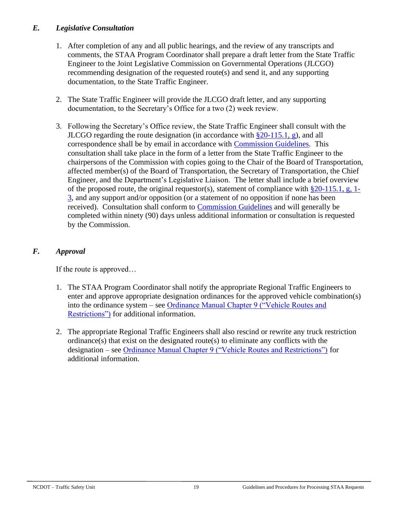### *E. Legislative Consultation*

- 1. After completion of any and all public hearings, and the review of any transcripts and comments, the STAA Program Coordinator shall prepare a draft letter from the State Traffic Engineer to the Joint Legislative Commission on Governmental Operations (JLCGO) recommending designation of the requested route(s) and send it, and any supporting documentation, to the State Traffic Engineer.
- 2. The State Traffic Engineer will provide the JLCGO draft letter, and any supporting documentation, to the Secretary's Office for a two (2) week review.
- 3. Following the Secretary's Office review, the State Traffic Engineer shall consult with the JLCGO regarding the route designation (in accordance with  $\S 20$ -115.1, g), and all correspondence shall be by email in accordance with [Commission Guidelines.](https://www.ncleg.gov/Committees/CommitteeInfo/NonStanding/152#Documents) This consultation shall take place in the form of a letter from the State Traffic Engineer to the chairpersons of the Commission with copies going to the Chair of the Board of Transportation, affected member(s) of the Board of Transportation, the Secretary of Transportation, the Chief Engineer, and the Department's Legislative Liaison. The letter shall include a brief overview of the proposed route, the original requestor(s), statement of compliance with  $\S 20-115.1$ , g, 1-[3,](http://www.ncleg.net/EnactedLegislation/Statutes/HTML/BySection/Chapter_20/GS_20-115.1.html) and any support and/or opposition (or a statement of no opposition if none has been received). Consultation shall conform to [Commission Guidelines](https://www.ncleg.gov/Committees/CommitteeInfo/NonStanding/152#Documents) and will generally be completed within ninety (90) days unless additional information or consultation is requested by the Commission.

### *F. Approval*

If the route is approved…

- 1. The STAA Program Coordinator shall notify the appropriate Regional Traffic Engineers to enter and approve appropriate designation ordinances for the approved vehicle combination(s) into the ordinance system – see [Ordinance Manual Chapter 9 \("Vehicle Routes and](https://connect.ncdot.gov/resources/safety/Crash%20Data%20and%20TEAAS%20System/Chapter_09_Vehicle_Routes_and_Restrictions.pdf)  [Restrictions"\)](https://connect.ncdot.gov/resources/safety/Crash%20Data%20and%20TEAAS%20System/Chapter_09_Vehicle_Routes_and_Restrictions.pdf) for additional information.
- 2. The appropriate Regional Traffic Engineers shall also rescind or rewrite any truck restriction ordinance(s) that exist on the designated route(s) to eliminate any conflicts with the designation – see [Ordinance Manual Chapter 9 \("Vehicle Routes and Restrictions"\)](https://connect.ncdot.gov/resources/safety/Crash%20Data%20and%20TEAAS%20System/Chapter_09_Vehicle_Routes_and_Restrictions.pdf) for additional information.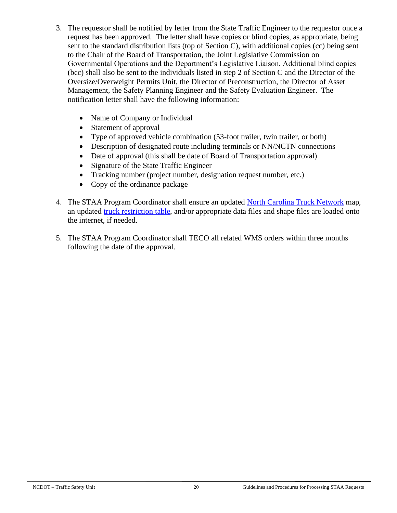- 3. The requestor shall be notified by letter from the State Traffic Engineer to the requestor once a request has been approved. The letter shall have copies or blind copies, as appropriate, being sent to the standard distribution lists (top of Section C), with additional copies (cc) being sent to the Chair of the Board of Transportation, the Joint Legislative Commission on Governmental Operations and the Department's Legislative Liaison. Additional blind copies (bcc) shall also be sent to the individuals listed in step 2 of Section C and the Director of the Oversize/Overweight Permits Unit, the Director of Preconstruction, the Director of Asset Management, the Safety Planning Engineer and the Safety Evaluation Engineer. The notification letter shall have the following information:
	- Name of Company or Individual
	- Statement of approval
	- Type of approved vehicle combination (53-foot trailer, twin trailer, or both)
	- Description of designated route including terminals or NN/NCTN connections
	- Date of approval (this shall be date of Board of Transportation approval)
	- Signature of the State Traffic Engineer
	- Tracking number (project number, designation request number, etc.)
	- Copy of the ordinance package
- 4. The STAA Program Coordinator shall ensure an updated [North Carolina Truck Network](https://connect.ncdot.gov/business/trucking/Pages/Truck-Network-and-Restrictions.aspx) map, an updated [truck restriction table,](https://connect.ncdot.gov/business/trucking/Pages/Truck-Network-and-Restrictions.aspx) and/or appropriate data files and shape files are loaded onto the internet, if needed.
- 5. The STAA Program Coordinator shall TECO all related WMS orders within three months following the date of the approval.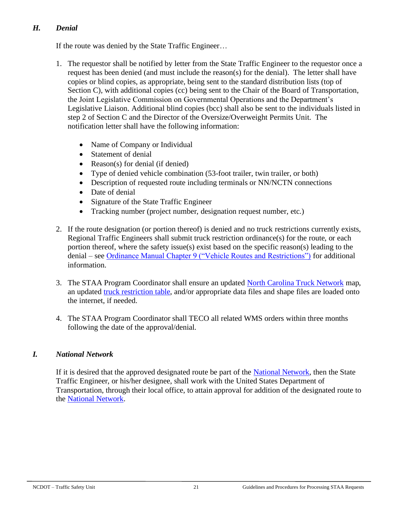## *H. Denial*

If the route was denied by the State Traffic Engineer…

- 1. The requestor shall be notified by letter from the State Traffic Engineer to the requestor once a request has been denied (and must include the reason(s) for the denial). The letter shall have copies or blind copies, as appropriate, being sent to the standard distribution lists (top of Section C), with additional copies (cc) being sent to the Chair of the Board of Transportation, the Joint Legislative Commission on Governmental Operations and the Department's Legislative Liaison. Additional blind copies (bcc) shall also be sent to the individuals listed in step 2 of Section C and the Director of the Oversize/Overweight Permits Unit. The notification letter shall have the following information:
	- Name of Company or Individual
	- Statement of denial
	- Reason(s) for denial (if denied)
	- Type of denied vehicle combination (53-foot trailer, twin trailer, or both)
	- Description of requested route including terminals or NN/NCTN connections
	- Date of denial
	- Signature of the State Traffic Engineer
	- Tracking number (project number, designation request number, etc.)
- 2. If the route designation (or portion thereof) is denied and no truck restrictions currently exists, Regional Traffic Engineers shall submit truck restriction ordinance(s) for the route, or each portion thereof, where the safety issue(s) exist based on the specific reason(s) leading to the denial – see [Ordinance Manual Chapter 9 \("Vehicle Routes and Restrictions"\)](https://connect.ncdot.gov/resources/safety/Crash%20Data%20and%20TEAAS%20System/Chapter_09_Vehicle_Routes_and_Restrictions.pdf) for additional information.
- 3. The STAA Program Coordinator shall ensure an updated [North Carolina Truck Network](https://connect.ncdot.gov/business/trucking/Pages/Truck-Network-and-Restrictions.aspx) map, an updated [truck restriction table,](https://connect.ncdot.gov/business/trucking/Pages/Truck-Network-and-Restrictions.aspx) and/or appropriate data files and shape files are loaded onto the internet, if needed.
- 4. The STAA Program Coordinator shall TECO all related WMS orders within three months following the date of the approval/denial.

## *I. National Network*

If it is desired that the approved designated route be part of the [National Network,](http://ops.fhwa.dot.gov/freight/infrastructure/national_network.htm) then the State Traffic Engineer, or his/her designee, shall work with the United States Department of Transportation, through their local office, to attain approval for addition of the designated route to the [National Network.](http://ops.fhwa.dot.gov/freight/infrastructure/national_network.htm)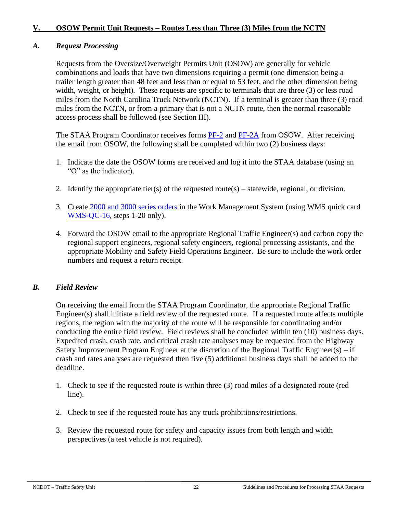### **V. OSOW Permit Unit Requests – Routes Less than Three (3) Miles from the NCTN**

### *A. Request Processing*

Requests from the Oversize/Overweight Permits Unit (OSOW) are generally for vehicle combinations and loads that have two dimensions requiring a permit (one dimension being a trailer length greater than 48 feet and less than or equal to 53 feet, and the other dimension being width, weight, or height). These requests are specific to terminals that are three (3) or less road miles from the North Carolina Truck Network (NCTN). If a terminal is greater than three (3) road miles from the NCTN, or from a primary that is not a NCTN route, then the normal reasonable access process shall be followed (see Section III).

The STAA Program Coordinator receives forms [PF-2](https://connect.ncdot.gov/business/trucking/Documents/Annual%20Permit%20App%20(PF-2).pdf) and [PF-2A](https://connect.ncdot.gov/business/trucking/Documents/Annual%20Permit%20App%20Routes%20(PF-2A).pdf) from OSOW. After receiving the email from OSOW, the following shall be completed within two (2) business days:

- 1. Indicate the date the OSOW forms are received and log it into the STAA database (using an "O" as the indicator).
- 2. Identify the appropriate tier(s) of the requested route(s) statewide, regional, or division.
- 3. Create [2000 and 3000 series orders](https://connect.ncdot.gov/resources/safety/Teppl/Pages/Teppl-Topic.aspx?Topic_List=W35) in the Work Management System (using WMS quick card [WMS-QC-16,](https://connect.ncdot.gov/resources/safety/Teppl/TEPPL%20All%20Documents%20Library/W-35QC16.pdf) steps 1-20 only).
- 4. Forward the OSOW email to the appropriate Regional Traffic Engineer(s) and carbon copy the regional support engineers, regional safety engineers, regional processing assistants, and the appropriate Mobility and Safety Field Operations Engineer. Be sure to include the work order numbers and request a return receipt.

#### *B. Field Review*

On receiving the email from the STAA Program Coordinator, the appropriate Regional Traffic Engineer(s) shall initiate a field review of the requested route. If a requested route affects multiple regions, the region with the majority of the route will be responsible for coordinating and/or conducting the entire field review. Field reviews shall be concluded within ten (10) business days. Expedited crash, crash rate, and critical crash rate analyses may be requested from the Highway Safety Improvement Program Engineer at the discretion of the Regional Traffic Engineer(s) – if crash and rates analyses are requested then five (5) additional business days shall be added to the deadline.

- 1. Check to see if the requested route is within three (3) road miles of a designated route (red line).
- 2. Check to see if the requested route has any truck prohibitions/restrictions.
- 3. Review the requested route for safety and capacity issues from both length and width perspectives (a test vehicle is not required).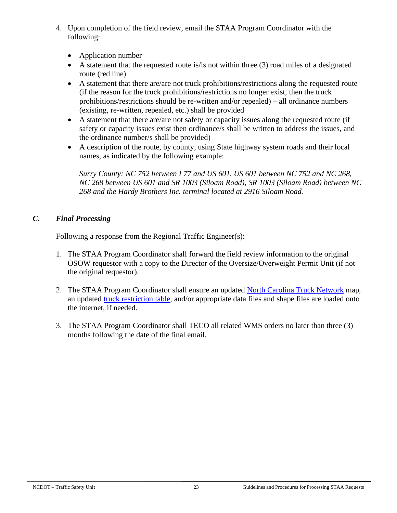- 4. Upon completion of the field review, email the STAA Program Coordinator with the following:
	- Application number
	- A statement that the requested route is/is not within three (3) road miles of a designated route (red line)
	- A statement that there are/are not truck prohibitions/restrictions along the requested route (if the reason for the truck prohibitions/restrictions no longer exist, then the truck prohibitions/restrictions should be re-written and/or repealed) – all ordinance numbers (existing, re-written, repealed, etc.) shall be provided
	- A statement that there are/are not safety or capacity issues along the requested route (if safety or capacity issues exist then ordinance/s shall be written to address the issues, and the ordinance number/s shall be provided)
	- A description of the route, by county, using State highway system roads and their local names, as indicated by the following example:

*Surry County: NC 752 between I 77 and US 601, US 601 between NC 752 and NC 268, NC 268 between US 601 and SR 1003 (Siloam Road), SR 1003 (Siloam Road) between NC 268 and the Hardy Brothers Inc. terminal located at 2916 Siloam Road.*

## *C. Final Processing*

Following a response from the Regional Traffic Engineer(s):

- 1. The STAA Program Coordinator shall forward the field review information to the original OSOW requestor with a copy to the Director of the Oversize/Overweight Permit Unit (if not the original requestor).
- 2. The STAA Program Coordinator shall ensure an updated [North Carolina Truck Network](https://connect.ncdot.gov/business/trucking/Pages/Truck-Network-and-Restrictions.aspx) map, an updated [truck restriction table,](https://connect.ncdot.gov/business/trucking/Pages/Truck-Network-and-Restrictions.aspx) and/or appropriate data files and shape files are loaded onto the internet, if needed.
- 3. The STAA Program Coordinator shall TECO all related WMS orders no later than three (3) months following the date of the final email.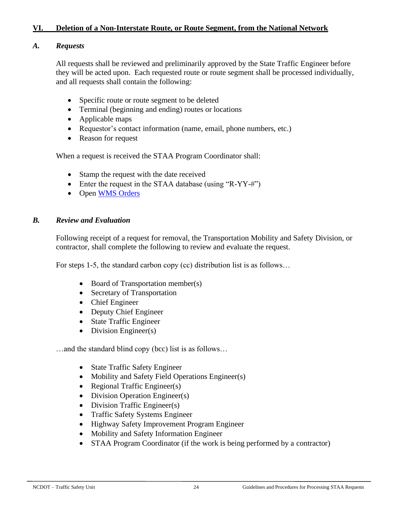#### **VI. Deletion of a Non-Interstate Route, or Route Segment, from the National Network**

#### *A. Requests*

All requests shall be reviewed and preliminarily approved by the State Traffic Engineer before they will be acted upon. Each requested route or route segment shall be processed individually, and all requests shall contain the following:

- Specific route or route segment to be deleted
- Terminal (beginning and ending) routes or locations
- Applicable maps
- Requestor's contact information (name, email, phone numbers, etc.)
- Reason for request

When a request is received the STAA Program Coordinator shall:

- Stamp the request with the date received
- Enter the request in the STAA database (using "R-YY-#")
- Open [WMS Orders](https://connect.ncdot.gov/resources/safety/Teppl/Pages/Teppl-Topic.aspx?Topic_List=W35)

#### *B. Review and Evaluation*

Following receipt of a request for removal, the Transportation Mobility and Safety Division, or contractor, shall complete the following to review and evaluate the request.

For steps 1-5, the standard carbon copy (cc) distribution list is as follows…

- Board of Transportation member(s)
- Secretary of Transportation
- Chief Engineer
- Deputy Chief Engineer
- State Traffic Engineer
- Division Engineer(s)

…and the standard blind copy (bcc) list is as follows…

- State Traffic Safety Engineer
- Mobility and Safety Field Operations Engineer(s)
- Regional Traffic Engineer(s)
- Division Operation Engineer(s)
- Division Traffic Engineer(s)
- Traffic Safety Systems Engineer
- Highway Safety Improvement Program Engineer
- Mobility and Safety Information Engineer
- STAA Program Coordinator (if the work is being performed by a contractor)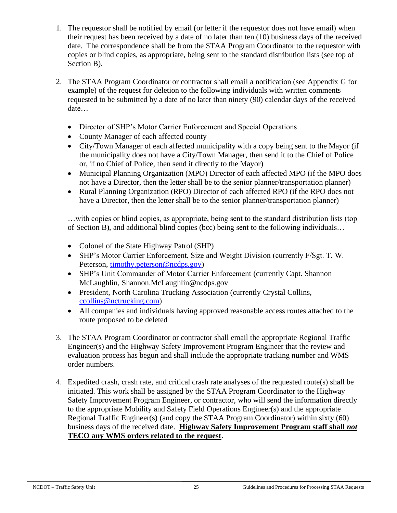- 1. The requestor shall be notified by email (or letter if the requestor does not have email) when their request has been received by a date of no later than ten (10) business days of the received date. The correspondence shall be from the STAA Program Coordinator to the requestor with copies or blind copies, as appropriate, being sent to the standard distribution lists (see top of Section B).
- 2. The STAA Program Coordinator or contractor shall email a notification (see Appendix G for example) of the request for deletion to the following individuals with written comments requested to be submitted by a date of no later than ninety (90) calendar days of the received date…
	- Director of SHP's Motor Carrier Enforcement and Special Operations
	- County Manager of each affected county
	- City/Town Manager of each affected municipality with a copy being sent to the Mayor (if the municipality does not have a City/Town Manager, then send it to the Chief of Police or, if no Chief of Police, then send it directly to the Mayor)
	- Municipal Planning Organization (MPO) Director of each affected MPO (if the MPO does not have a Director, then the letter shall be to the senior planner/transportation planner)
	- Rural Planning Organization (RPO) Director of each affected RPO (if the RPO does not have a Director, then the letter shall be to the senior planner/transportation planner)

…with copies or blind copies, as appropriate, being sent to the standard distribution lists (top of Section B), and additional blind copies (bcc) being sent to the following individuals…

- Colonel of the State Highway Patrol (SHP)
- SHP's Motor Carrier Enforcement, Size and Weight Division (currently F/Sgt. T. W. Peterson, [timothy.peterson@ncdps.gov\)](mailto:timothy.peterson@ncdps.gov)
- SHP's Unit Commander of Motor Carrier Enforcement (currently Capt. Shannon McLaughlin, Shannon.McLaughlin@ncdps.gov
- President, North Carolina Trucking Association (currently Crystal Collins, [ccollins@nctrucking.com\)](mailto:ccollins@nctrucking.com)
- All companies and individuals having approved reasonable access routes attached to the route proposed to be deleted
- 3. The STAA Program Coordinator or contractor shall email the appropriate Regional Traffic Engineer(s) and the Highway Safety Improvement Program Engineer that the review and evaluation process has begun and shall include the appropriate tracking number and WMS order numbers.
- 4. Expedited crash, crash rate, and critical crash rate analyses of the requested route(s) shall be initiated. This work shall be assigned by the STAA Program Coordinator to the Highway Safety Improvement Program Engineer, or contractor, who will send the information directly to the appropriate Mobility and Safety Field Operations Engineer(s) and the appropriate Regional Traffic Engineer(s) (and copy the STAA Program Coordinator) within sixty (60) business days of the received date. **Highway Safety Improvement Program staff shall** *not* **TECO any WMS orders related to the request**.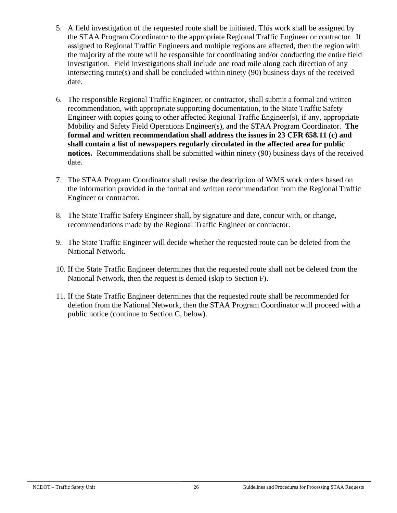- 5. A field investigation of the requested route shall be initiated. This work shall be assigned by the STAA Program Coordinator to the appropriate Regional Traffic Engineer or contractor. If assigned to Regional Traffic Engineers and multiple regions are affected, then the region with the majority of the route will be responsible for coordinating and/or conducting the entire field investigation. Field investigations shall include one road mile along each direction of any intersecting route(s) and shall be concluded within ninety (90) business days of the received date.
- 6. The responsible Regional Traffic Engineer, or contractor, shall submit a formal and written recommendation, with appropriate supporting documentation, to the State Traffic Safety Engineer with copies going to other affected Regional Traffic Engineer(s), if any, appropriate Mobility and Safety Field Operations Engineer(s), and the STAA Program Coordinator. **The formal and written recommendation shall address the issues in 23 CFR 658.11 (c) and shall contain a list of newspapers regularly circulated in the affected area for public notices.** Recommendations shall be submitted within ninety (90) business days of the received date.
- 7. The STAA Program Coordinator shall revise the description of WMS work orders based on the information provided in the formal and written recommendation from the Regional Traffic Engineer or contractor.
- 8. The State Traffic Safety Engineer shall, by signature and date, concur with, or change, recommendations made by the Regional Traffic Engineer or contractor.
- 9. The State Traffic Engineer will decide whether the requested route can be deleted from the National Network.
- 10. If the State Traffic Engineer determines that the requested route shall not be deleted from the National Network, then the request is denied (skip to Section F).
- 11. If the State Traffic Engineer determines that the requested route shall be recommended for deletion from the National Network, then the STAA Program Coordinator will proceed with a public notice (continue to Section C, below).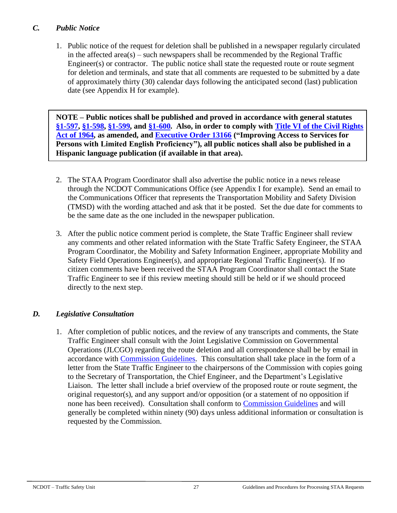## *C. Public Notice*

1. Public notice of the request for deletion shall be published in a newspaper regularly circulated in the affected area( $s$ ) – such newspapers shall be recommended by the Regional Traffic Engineer(s) or contractor. The public notice shall state the requested route or route segment for deletion and terminals, and state that all comments are requested to be submitted by a date of approximately thirty (30) calendar days following the anticipated second (last) publication date (see Appendix H for example).

**NOTE – Public notices shall be published and proved in accordance with general statutes [§1-597,](http://www.ncleg.net/EnactedLegislation/Statutes/HTML/BySection/Chapter_1/GS_1-597.html) [§1-598,](http://www.ncleg.net/EnactedLegislation/Statutes/HTML/BySection/Chapter_1/GS_1-598.html) [§1-599,](http://www.ncleg.net/EnactedLegislation/Statutes/HTML/BySection/Chapter_1/GS_1-599.html) and [§1-600.](http://www.ncleg.net/EnactedLegislation/Statutes/HTML/BySection/Chapter_1/GS_1-600.html) Also, in order to comply with [Title VI of the Civil Rights](http://www.justice.gov/crt/title-vi-civil-rights-act-1964-42-usc-2000d-et-seq)  [Act of 1964,](http://www.justice.gov/crt/title-vi-civil-rights-act-1964-42-usc-2000d-et-seq) as amended, and [Executive Order 13166](http://www.justice.gov/crt/lep/13166/eo13166.html) ("Improving Access to Services for Persons with Limited English Proficiency"), all public notices shall also be published in a Hispanic language publication (if available in that area).**

- 2. The STAA Program Coordinator shall also advertise the public notice in a news release through the NCDOT Communications Office (see Appendix I for example). Send an email to the Communications Officer that represents the Transportation Mobility and Safety Division (TMSD) with the wording attached and ask that it be posted. Set the due date for comments to be the same date as the one included in the newspaper publication.
- 3. After the public notice comment period is complete, the State Traffic Engineer shall review any comments and other related information with the State Traffic Safety Engineer, the STAA Program Coordinator, the Mobility and Safety Information Engineer, appropriate Mobility and Safety Field Operations Engineer(s), and appropriate Regional Traffic Engineer(s). If no citizen comments have been received the STAA Program Coordinator shall contact the State Traffic Engineer to see if this review meeting should still be held or if we should proceed directly to the next step.

## *D. Legislative Consultation*

1. After completion of public notices, and the review of any transcripts and comments, the State Traffic Engineer shall consult with the Joint Legislative Commission on Governmental Operations (JLCGO) regarding the route deletion and all correspondence shall be by email in accordance with [Commission Guidelines.](https://www.ncleg.gov/Committees/CommitteeInfo/NonStanding/152#Documents) This consultation shall take place in the form of a letter from the State Traffic Engineer to the chairpersons of the Commission with copies going to the Secretary of Transportation, the Chief Engineer, and the Department's Legislative Liaison. The letter shall include a brief overview of the proposed route or route segment, the original requestor(s), and any support and/or opposition (or a statement of no opposition if none has been received). Consultation shall conform to [Commission Guidelines](https://www.ncleg.gov/Committees/CommitteeInfo/NonStanding/152#Documents) and will generally be completed within ninety (90) days unless additional information or consultation is requested by the Commission.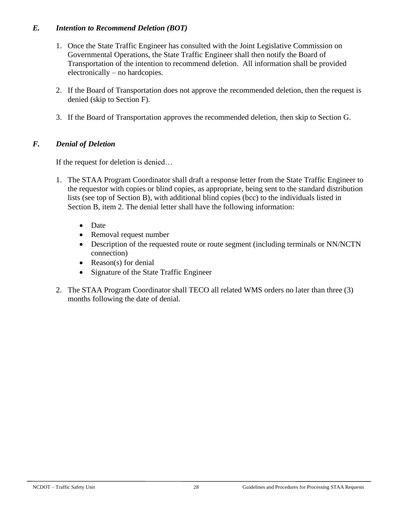### *E. Intention to Recommend Deletion (BOT)*

- 1. Once the State Traffic Engineer has consulted with the Joint Legislative Commission on Governmental Operations, the State Traffic Engineer shall then notify the Board of Transportation of the intention to recommend deletion. All information shall be provided electronically – no hardcopies.
- 2. If the Board of Transportation does not approve the recommended deletion, then the request is denied (skip to Section F).
- 3. If the Board of Transportation approves the recommended deletion, then skip to Section G.

### *F. Denial of Deletion*

If the request for deletion is denied…

- 1. The STAA Program Coordinator shall draft a response letter from the State Traffic Engineer to the requestor with copies or blind copies, as appropriate, being sent to the standard distribution lists (see top of Section B), with additional blind copies (bcc) to the individuals listed in Section B, item 2. The denial letter shall have the following information:
	- Date
	- Removal request number
	- Description of the requested route or route segment (including terminals or NN/NCTN connection)
	- Reason(s) for denial
	- Signature of the State Traffic Engineer
- 2. The STAA Program Coordinator shall TECO all related WMS orders no later than three (3) months following the date of denial.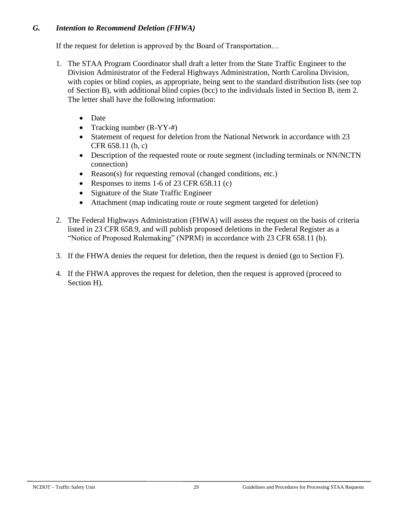### *G. Intention to Recommend Deletion (FHWA)*

If the request for deletion is approved by the Board of Transportation…

- 1. The STAA Program Coordinator shall draft a letter from the State Traffic Engineer to the Division Administrator of the Federal Highways Administration, North Carolina Division, with copies or blind copies, as appropriate, being sent to the standard distribution lists (see top of Section B), with additional blind copies (bcc) to the individuals listed in Section B, item 2. The letter shall have the following information:
	- Date
	- Tracking number (R-YY-#)
	- Statement of request for deletion from the National Network in accordance with 23 CFR 658.11 (b, c)
	- Description of the requested route or route segment (including terminals or NN/NCTN connection)
	- Reason(s) for requesting removal (changed conditions, etc.)
	- Responses to items 1-6 of 23 CFR 658.11 (c)
	- Signature of the State Traffic Engineer
	- Attachment (map indicating route or route segment targeted for deletion)
- 2. The Federal Highways Administration (FHWA) will assess the request on the basis of criteria listed in 23 CFR 658.9, and will publish proposed deletions in the Federal Register as a "Notice of Proposed Rulemaking" (NPRM) in accordance with 23 CFR 658.11 (b).
- 3. If the FHWA denies the request for deletion, then the request is denied (go to Section F).
- 4. If the FHWA approves the request for deletion, then the request is approved (proceed to Section H).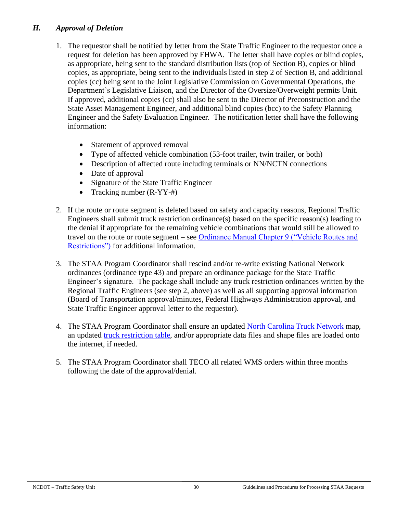### *H. Approval of Deletion*

- 1. The requestor shall be notified by letter from the State Traffic Engineer to the requestor once a request for deletion has been approved by FHWA. The letter shall have copies or blind copies, as appropriate, being sent to the standard distribution lists (top of Section B), copies or blind copies, as appropriate, being sent to the individuals listed in step 2 of Section B, and additional copies (cc) being sent to the Joint Legislative Commission on Governmental Operations, the Department's Legislative Liaison, and the Director of the Oversize/Overweight permits Unit. If approved, additional copies (cc) shall also be sent to the Director of Preconstruction and the State Asset Management Engineer, and additional blind copies (bcc) to the Safety Planning Engineer and the Safety Evaluation Engineer. The notification letter shall have the following information:
	- Statement of approved removal
	- Type of affected vehicle combination (53-foot trailer, twin trailer, or both)
	- Description of affected route including terminals or NN/NCTN connections
	- Date of approval
	- Signature of the State Traffic Engineer
	- Tracking number (R-YY-#)
- 2. If the route or route segment is deleted based on safety and capacity reasons, Regional Traffic Engineers shall submit truck restriction ordinance(s) based on the specific reason(s) leading to the denial if appropriate for the remaining vehicle combinations that would still be allowed to travel on the route or route segment – see [Ordinance Manual Chapter 9 \("Vehicle Routes and](https://connect.ncdot.gov/resources/safety/Crash%20Data%20and%20TEAAS%20System/Chapter_09_Vehicle_Routes_and_Restrictions.pdf)  [Restrictions"\)](https://connect.ncdot.gov/resources/safety/Crash%20Data%20and%20TEAAS%20System/Chapter_09_Vehicle_Routes_and_Restrictions.pdf) for additional information.
- 3. The STAA Program Coordinator shall rescind and/or re-write existing National Network ordinances (ordinance type 43) and prepare an ordinance package for the State Traffic Engineer's signature. The package shall include any truck restriction ordinances written by the Regional Traffic Engineers (see step 2, above) as well as all supporting approval information (Board of Transportation approval/minutes, Federal Highways Administration approval, and State Traffic Engineer approval letter to the requestor).
- 4. The STAA Program Coordinator shall ensure an updated [North Carolina Truck Network](https://connect.ncdot.gov/business/trucking/Pages/Truck-Network-and-Restrictions.aspx) map, an updated [truck restriction table,](https://connect.ncdot.gov/business/trucking/Pages/Truck-Network-and-Restrictions.aspx) and/or appropriate data files and shape files are loaded onto the internet, if needed.
- 5. The STAA Program Coordinator shall TECO all related WMS orders within three months following the date of the approval/denial.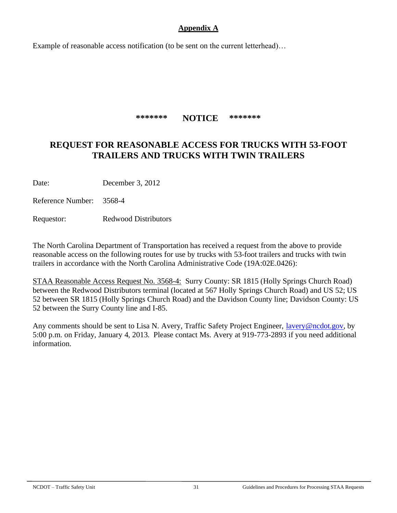### **Appendix A**

Example of reasonable access notification (to be sent on the current letterhead)…

**\*\*\*\*\*\*\* NOTICE \*\*\*\*\*\*\***

# **REQUEST FOR REASONABLE ACCESS FOR TRUCKS WITH 53-FOOT TRAILERS AND TRUCKS WITH TWIN TRAILERS**

Date: December 3, 2012

Reference Number: 3568-4

Requestor: Redwood Distributors

The North Carolina Department of Transportation has received a request from the above to provide reasonable access on the following routes for use by trucks with 53-foot trailers and trucks with twin trailers in accordance with the North Carolina Administrative Code (19A:02E.0426):

STAA Reasonable Access Request No. 3568-4: Surry County: SR 1815 (Holly Springs Church Road) between the Redwood Distributors terminal (located at 567 Holly Springs Church Road) and US 52; US 52 between SR 1815 (Holly Springs Church Road) and the Davidson County line; Davidson County: US 52 between the Surry County line and I-85.

Any comments should be sent to Lisa N. Avery, Traffic Safety Project Engineer, [lavery@ncdot.gov,](mailto:lavery@ncdot.gov) by 5:00 p.m. on Friday, January 4, 2013. Please contact Ms. Avery at 919-773-2893 if you need additional information.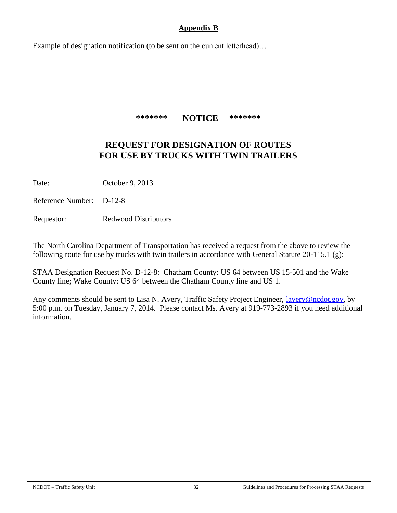#### **Appendix B**

Example of designation notification (to be sent on the current letterhead)…

**\*\*\*\*\*\*\* NOTICE \*\*\*\*\*\*\***

## **REQUEST FOR DESIGNATION OF ROUTES FOR USE BY TRUCKS WITH TWIN TRAILERS**

Date: October 9, 2013

Reference Number: D-12-8

Requestor: Redwood Distributors

The North Carolina Department of Transportation has received a request from the above to review the following route for use by trucks with twin trailers in accordance with General Statute 20-115.1 (g):

STAA Designation Request No. D-12-8: Chatham County: US 64 between US 15-501 and the Wake County line; Wake County: US 64 between the Chatham County line and US 1.

Any comments should be sent to Lisa N. Avery, Traffic Safety Project Engineer, *lavery@ncdot.gov*, by 5:00 p.m. on Tuesday, January 7, 2014. Please contact Ms. Avery at 919-773-2893 if you need additional information.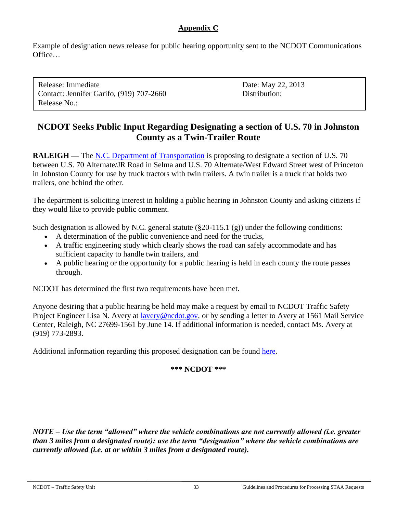### **Appendix C**

Example of designation news release for public hearing opportunity sent to the NCDOT Communications Office…

Release: Immediate Date: May 22, 2013 Contact: Jennifer Garifo, (919) 707-2660 Distribution: Release No.:

# **NCDOT Seeks Public Input Regarding Designating a section of U.S. 70 in Johnston County as a Twin-Trailer Route**

**RALEIGH** — The [N.C. Department of Transportation](http://www.ncdot.gov/) is proposing to designate a section of U.S. 70 between U.S. 70 Alternate/JR Road in Selma and U.S. 70 Alternate/West Edward Street west of Princeton in Johnston County for use by truck tractors with twin trailers. A twin trailer is a truck that holds two trailers, one behind the other.

The department is soliciting interest in holding a public hearing in Johnston County and asking citizens if they would like to provide public comment.

Such designation is allowed by N.C. general statute  $(\S 20-115.1 \, (\text{g}))$  under the following conditions:

- A determination of the public convenience and need for the trucks,
- A traffic engineering study which clearly shows the road can safely accommodate and has sufficient capacity to handle twin trailers, and
- A public hearing or the opportunity for a public hearing is held in each county the route passes through.

NCDOT has determined the first two requirements have been met.

Anyone desiring that a public hearing be held may make a request by email to NCDOT Traffic Safety Project Engineer Lisa N. Avery at [lavery@ncdot.gov,](mailto:lavery@ncdot.gov) or by sending a letter to Avery at 1561 Mail Service Center, Raleigh, NC 27699-1561 by June 14. If additional information is needed, contact Ms. Avery at (919) 773-2893.

Additional information regarding this proposed designation can be found [here.](https://connect.ncdot.gov/resources/safety/Teppl/Pages/Teppl-Topic.aspx?Topic_List=T52)

#### **\*\*\* NCDOT \*\*\***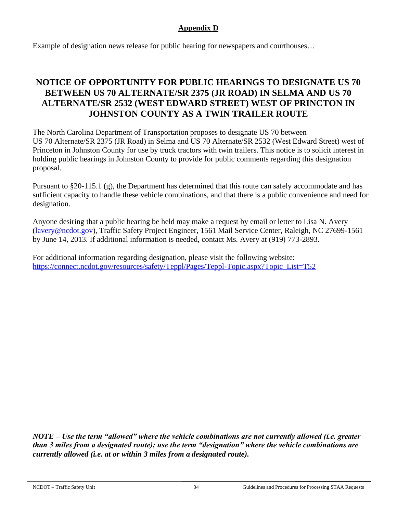## **Appendix D**

Example of designation news release for public hearing for newspapers and courthouses…

# **NOTICE OF OPPORTUNITY FOR PUBLIC HEARINGS TO DESIGNATE US 70 BETWEEN US 70 ALTERNATE/SR 2375 (JR ROAD) IN SELMA AND US 70 ALTERNATE/SR 2532 (WEST EDWARD STREET) WEST OF PRINCTON IN JOHNSTON COUNTY AS A TWIN TRAILER ROUTE**

The North Carolina Department of Transportation proposes to designate US 70 between US 70 Alternate/SR 2375 (JR Road) in Selma and US 70 Alternate/SR 2532 (West Edward Street) west of Princeton in Johnston County for use by truck tractors with twin trailers. This notice is to solicit interest in holding public hearings in Johnston County to provide for public comments regarding this designation proposal.

Pursuant to §20-115.1 (g), the Department has determined that this route can safely accommodate and has sufficient capacity to handle these vehicle combinations, and that there is a public convenience and need for designation.

Anyone desiring that a public hearing be held may make a request by email or letter to Lisa N. Avery [\(lavery@ncdot.gov\)](mailto:lavery@ncdot.gov), Traffic Safety Project Engineer, 1561 Mail Service Center, Raleigh, NC 27699-1561 by June 14, 2013. If additional information is needed, contact Ms. Avery at (919) 773-2893.

For additional information regarding designation, please visit the following website: [https://connect.ncdot.gov/resources/safety/Teppl/Pages/Teppl-Topic.aspx?Topic\\_List=T52](https://connect.ncdot.gov/resources/safety/Teppl/Pages/Teppl-Topic.aspx?Topic_List=T52)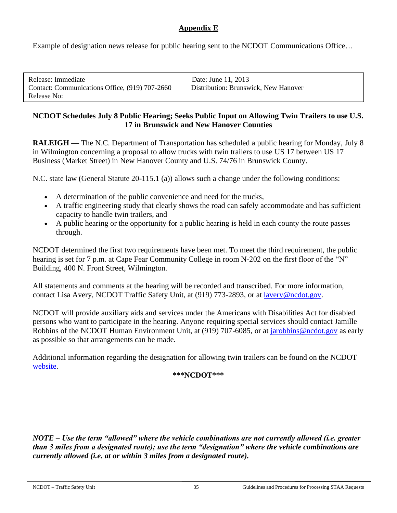### **Appendix E**

Example of designation news release for public hearing sent to the NCDOT Communications Office…

| Release: Immediate                             | Date: June 11, 2013                  |
|------------------------------------------------|--------------------------------------|
| Contact: Communications Office, (919) 707-2660 | Distribution: Brunswick, New Hanover |
| Release No:                                    |                                      |

#### **NCDOT Schedules July 8 Public Hearing; Seeks Public Input on Allowing Twin Trailers to use U.S. 17 in Brunswick and New Hanover Counties**

**RALEIGH —** The N.C. Department of Transportation has scheduled a public hearing for Monday, July 8 in Wilmington concerning a proposal to allow trucks with twin trailers to use US 17 between US 17 Business (Market Street) in New Hanover County and U.S. 74/76 in Brunswick County.

N.C. state law (General Statute 20-115.1 (a)) allows such a change under the following conditions:

- A determination of the public convenience and need for the trucks,
- A traffic engineering study that clearly shows the road can safely accommodate and has sufficient capacity to handle twin trailers, and
- A public hearing or the opportunity for a public hearing is held in each county the route passes through.

NCDOT determined the first two requirements have been met. To meet the third requirement, the public hearing is set for 7 p.m. at Cape Fear Community College in room N-202 on the first floor of the "N" Building, 400 N. Front Street, Wilmington.

All statements and comments at the hearing will be recorded and transcribed. For more information, contact Lisa Avery, NCDOT Traffic Safety Unit, at (919) 773-2893, or at [lavery@ncdot.gov.](mailto:lavery@ncdot.gov)

NCDOT will provide auxiliary aids and services under the Americans with Disabilities Act for disabled persons who want to participate in the hearing. Anyone requiring special services should contact Jamille Robbins of the NCDOT Human Environment Unit, at (919) 707-6085, or at [jarobbins@ncdot.gov](mailto:jarobbins@ncdot.gov) as early as possible so that arrangements can be made.

Additional information regarding the designation for allowing twin trailers can be found on the NCDOT [website.](https://connect.ncdot.gov/resources/safety/Teppl/Pages/Teppl-Topic.aspx?Topic_List=T52)

#### **\*\*\*NCDOT\*\*\***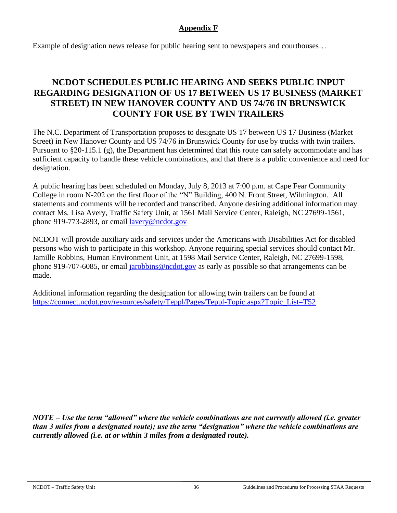### **Appendix F**

Example of designation news release for public hearing sent to newspapers and courthouses…

# **NCDOT SCHEDULES PUBLIC HEARING AND SEEKS PUBLIC INPUT REGARDING DESIGNATION OF US 17 BETWEEN US 17 BUSINESS (MARKET STREET) IN NEW HANOVER COUNTY AND US 74/76 IN BRUNSWICK COUNTY FOR USE BY TWIN TRAILERS**

The N.C. Department of Transportation proposes to designate US 17 between US 17 Business (Market Street) in New Hanover County and US 74/76 in Brunswick County for use by trucks with twin trailers. Pursuant to §20-115.1 (g), the Department has determined that this route can safely accommodate and has sufficient capacity to handle these vehicle combinations, and that there is a public convenience and need for designation.

A public hearing has been scheduled on Monday, July 8, 2013 at 7:00 p.m. at Cape Fear Community College in room N-202 on the first floor of the "N" Building, 400 N. Front Street, Wilmington. All statements and comments will be recorded and transcribed. Anyone desiring additional information may contact Ms. Lisa Avery, Traffic Safety Unit, at 1561 Mail Service Center, Raleigh, NC 27699-1561, phone 919-773-2893, or email [lavery@ncdot.gov](mailto:lavery@ncdot.gov)

NCDOT will provide auxiliary aids and services under the Americans with Disabilities Act for disabled persons who wish to participate in this workshop. Anyone requiring special services should contact Mr. Jamille Robbins, Human Environment Unit, at 1598 Mail Service Center, Raleigh, NC 27699-1598, phone 919-707-6085, or email [jarobbins@ncdot.gov](mailto:jarobbins@ncdot.gov) as early as possible so that arrangements can be made.

Additional information regarding the designation for allowing twin trailers can be found at [https://connect.ncdot.gov/resources/safety/Teppl/Pages/Teppl-Topic.aspx?Topic\\_List=T52](https://connect.ncdot.gov/resources/safety/Teppl/Pages/Teppl-Topic.aspx?Topic_List=T52)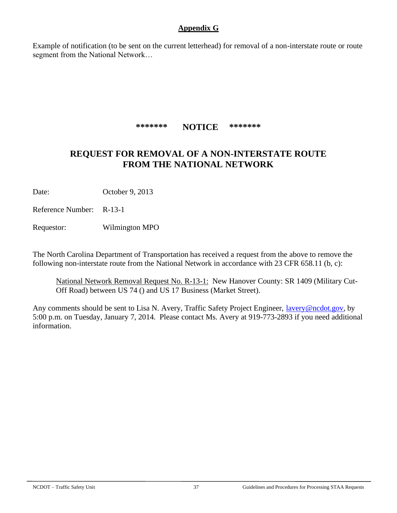### **Appendix G**

Example of notification (to be sent on the current letterhead) for removal of a non-interstate route or route segment from the National Network…

**\*\*\*\*\*\*\* NOTICE \*\*\*\*\*\*\***

# **REQUEST FOR REMOVAL OF A NON-INTERSTATE ROUTE FROM THE NATIONAL NETWORK**

Date: October 9, 2013

Reference Number: R-13-1

Requestor: Wilmington MPO

The North Carolina Department of Transportation has received a request from the above to remove the following non-interstate route from the National Network in accordance with 23 CFR 658.11 (b, c):

National Network Removal Request No. R-13-1: New Hanover County: SR 1409 (Military Cut-Off Road) between US 74 () and US 17 Business (Market Street).

Any comments should be sent to Lisa N. Avery, Traffic Safety Project Engineer, [lavery@ncdot.gov,](mailto:lavery@ncdot.gov) by 5:00 p.m. on Tuesday, January 7, 2014. Please contact Ms. Avery at 919-773-2893 if you need additional information.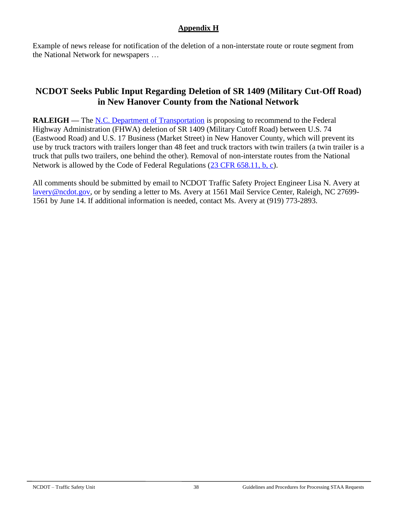### **Appendix H**

Example of news release for notification of the deletion of a non-interstate route or route segment from the National Network for newspapers …

# **NCDOT Seeks Public Input Regarding Deletion of SR 1409 (Military Cut-Off Road) in New Hanover County from the National Network**

**RALEIGH** — The <u>N.C. Department of Transportation</u> is proposing to recommend to the Federal Highway Administration (FHWA) deletion of SR 1409 (Military Cutoff Road) between U.S. 74 (Eastwood Road) and U.S. 17 Business (Market Street) in New Hanover County, which will prevent its use by truck tractors with trailers longer than 48 feet and truck tractors with twin trailers (a twin trailer is a truck that pulls two trailers, one behind the other). Removal of non-interstate routes from the National Network is allowed by the Code of Federal Regulations [\(23 CFR 658.11, b, c\)](http://www.gpo.gov/fdsys/pkg/CFR-2007-title23-vol1/pdf/CFR-2007-title23-vol1-part658.pdf).

All comments should be submitted by email to NCDOT Traffic Safety Project Engineer Lisa N. Avery at [lavery@ncdot.gov,](mailto:lavery@ncdot.gov) or by sending a letter to Ms. Avery at 1561 Mail Service Center, Raleigh, NC 27699- 1561 by June 14. If additional information is needed, contact Ms. Avery at (919) 773-2893.